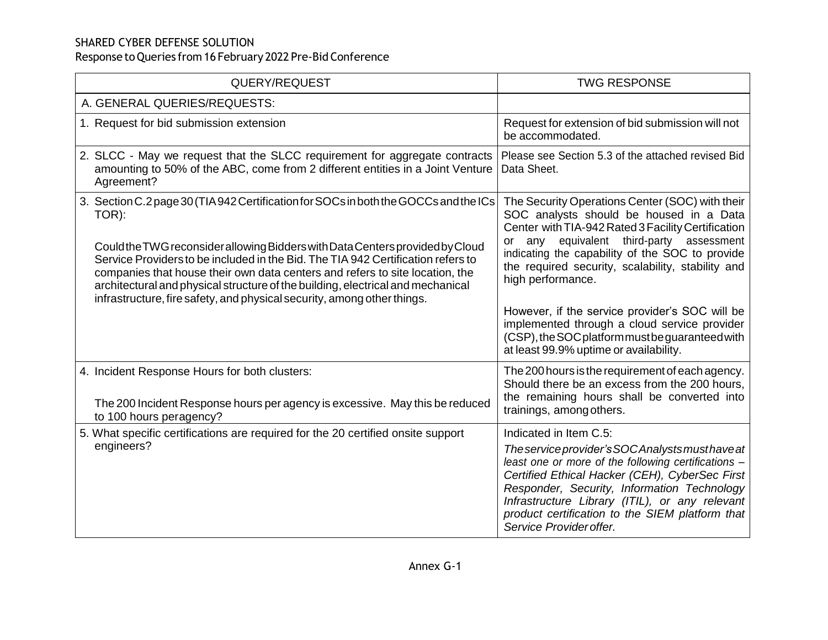| QUERY/REQUEST                                                                                                                                                                                                                                                                                                                                                                                                                                                                                                    | <b>TWG RESPONSE</b>                                                                                                                                                                                                                                                                                                                                                                                                                                                                                                         |
|------------------------------------------------------------------------------------------------------------------------------------------------------------------------------------------------------------------------------------------------------------------------------------------------------------------------------------------------------------------------------------------------------------------------------------------------------------------------------------------------------------------|-----------------------------------------------------------------------------------------------------------------------------------------------------------------------------------------------------------------------------------------------------------------------------------------------------------------------------------------------------------------------------------------------------------------------------------------------------------------------------------------------------------------------------|
| A. GENERAL QUERIES/REQUESTS:                                                                                                                                                                                                                                                                                                                                                                                                                                                                                     |                                                                                                                                                                                                                                                                                                                                                                                                                                                                                                                             |
| 1. Request for bid submission extension                                                                                                                                                                                                                                                                                                                                                                                                                                                                          | Request for extension of bid submission will not<br>be accommodated.                                                                                                                                                                                                                                                                                                                                                                                                                                                        |
| 2. SLCC - May we request that the SLCC requirement for aggregate contracts<br>amounting to 50% of the ABC, come from 2 different entities in a Joint Venture<br>Agreement?                                                                                                                                                                                                                                                                                                                                       | Please see Section 5.3 of the attached revised Bid<br>Data Sheet.                                                                                                                                                                                                                                                                                                                                                                                                                                                           |
| 3. Section C.2 page 30 (TIA 942 Certification for SOCs in both the GOCCs and the ICs<br>TOR):<br>Could the TWG reconsider allowing Bidders with Data Centers provided by Cloud<br>Service Providers to be included in the Bid. The TIA 942 Certification refers to<br>companies that house their own data centers and refers to site location, the<br>architectural and physical structure of the building, electrical and mechanical<br>infrastructure, fire safety, and physical security, among other things. | The Security Operations Center (SOC) with their<br>SOC analysts should be housed in a Data<br>Center with TIA-942 Rated 3 Facility Certification<br>equivalent third-party assessment<br>or any<br>indicating the capability of the SOC to provide<br>the required security, scalability, stability and<br>high performance.<br>However, if the service provider's SOC will be<br>implemented through a cloud service provider<br>(CSP), the SOC platform must be guaranteed with<br>at least 99.9% uptime or availability. |
| 4. Incident Response Hours for both clusters:<br>The 200 Incident Response hours per agency is excessive. May this be reduced<br>to 100 hours peragency?                                                                                                                                                                                                                                                                                                                                                         | The 200 hours is the requirement of each agency.<br>Should there be an excess from the 200 hours.<br>the remaining hours shall be converted into<br>trainings, among others.                                                                                                                                                                                                                                                                                                                                                |
| 5. What specific certifications are required for the 20 certified onsite support<br>engineers?                                                                                                                                                                                                                                                                                                                                                                                                                   | Indicated in Item C.5:<br>The service provider's SOC Analysts must have at<br>least one or more of the following certifications -<br>Certified Ethical Hacker (CEH), CyberSec First<br>Responder, Security, Information Technology<br>Infrastructure Library (ITIL), or any relevant<br>product certification to the SIEM platform that<br>Service Provider offer.                                                                                                                                                          |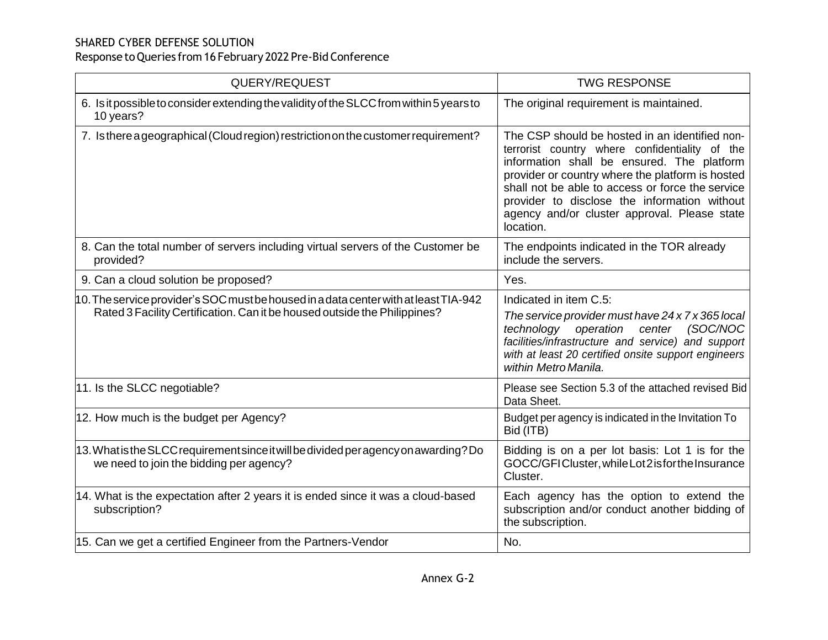| QUERY/REQUEST                                                                                                                                                     | <b>TWG RESPONSE</b>                                                                                                                                                                                                                                                                                                                                                 |
|-------------------------------------------------------------------------------------------------------------------------------------------------------------------|---------------------------------------------------------------------------------------------------------------------------------------------------------------------------------------------------------------------------------------------------------------------------------------------------------------------------------------------------------------------|
| 6. Is it possible to consider extending the validity of the SLCC from within 5 years to<br>10 years?                                                              | The original requirement is maintained.                                                                                                                                                                                                                                                                                                                             |
| 7. Is there a geographical (Cloud region) restriction on the customer requirement?                                                                                | The CSP should be hosted in an identified non-<br>terrorist country where confidentiality of the<br>information shall be ensured. The platform<br>provider or country where the platform is hosted<br>shall not be able to access or force the service<br>provider to disclose the information without<br>agency and/or cluster approval. Please state<br>location. |
| 8. Can the total number of servers including virtual servers of the Customer be<br>provided?                                                                      | The endpoints indicated in the TOR already<br>include the servers.                                                                                                                                                                                                                                                                                                  |
| 9. Can a cloud solution be proposed?                                                                                                                              | Yes.                                                                                                                                                                                                                                                                                                                                                                |
| 10. The service provider's SOC must be housed in a data center with at least TIA-942<br>Rated 3 Facility Certification. Can it be housed outside the Philippines? | Indicated in item C.5:<br>The service provider must have 24 x 7 x 365 local<br>(SOC/NOC<br>technology operation<br>center<br>facilities/infrastructure and service) and support<br>with at least 20 certified onsite support engineers<br>within Metro Manila.                                                                                                      |
| 11. Is the SLCC negotiable?                                                                                                                                       | Please see Section 5.3 of the attached revised Bid<br>Data Sheet.                                                                                                                                                                                                                                                                                                   |
| 12. How much is the budget per Agency?                                                                                                                            | Budget per agency is indicated in the Invitation To<br>Bid (ITB)                                                                                                                                                                                                                                                                                                    |
| 13. What is the SLCC requirement since it will be divided per agency on awarding? Do<br>we need to join the bidding per agency?                                   | Bidding is on a per lot basis: Lot 1 is for the<br>GOCC/GFICluster, while Lot 2 is for the Insurance<br>Cluster.                                                                                                                                                                                                                                                    |
| 14. What is the expectation after 2 years it is ended since it was a cloud-based<br>subscription?                                                                 | Each agency has the option to extend the<br>subscription and/or conduct another bidding of<br>the subscription.                                                                                                                                                                                                                                                     |
| 15. Can we get a certified Engineer from the Partners-Vendor                                                                                                      | No.                                                                                                                                                                                                                                                                                                                                                                 |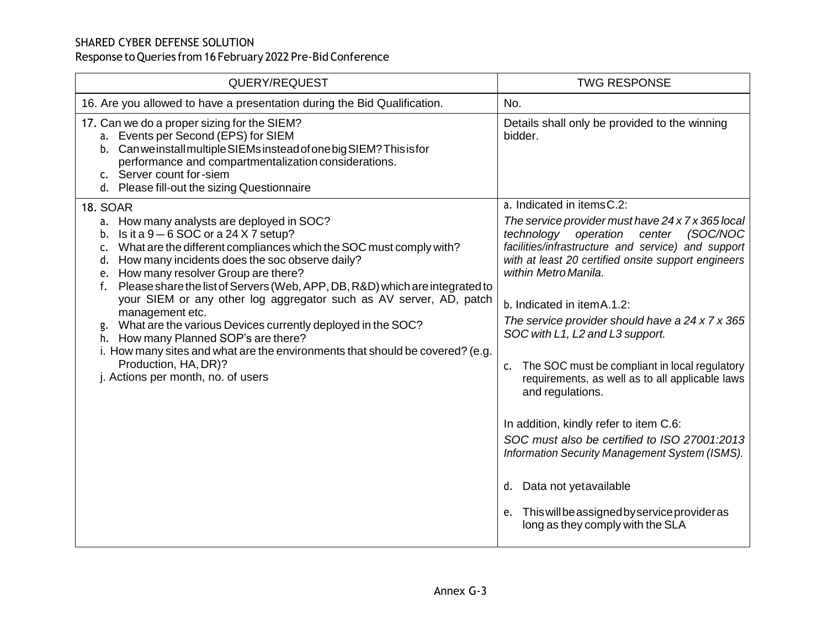| QUERY/REQUEST                                                                                                                                                                                                                                                                                                                                           | <b>TWG RESPONSE</b>                                                                                                                                                             |
|---------------------------------------------------------------------------------------------------------------------------------------------------------------------------------------------------------------------------------------------------------------------------------------------------------------------------------------------------------|---------------------------------------------------------------------------------------------------------------------------------------------------------------------------------|
| 16. Are you allowed to have a presentation during the Bid Qualification.                                                                                                                                                                                                                                                                                | No.                                                                                                                                                                             |
| 17. Can we do a proper sizing for the SIEM?<br>a. Events per Second (EPS) for SIEM<br>b. Can we install multiple SIEMs instead of one big SIEM? This is for<br>performance and compartmentalization considerations.<br>c. Server count for-siem<br>d. Please fill-out the sizing Questionnaire                                                          | Details shall only be provided to the winning<br>bidder.                                                                                                                        |
| <b>18. SOAR</b>                                                                                                                                                                                                                                                                                                                                         | a. Indicated in items C.2:<br>The service provider must have 24 x 7 x 365 local                                                                                                 |
| a. How many analysts are deployed in SOC?<br>Is it a $9-6$ SOC or a 24 X 7 setup?<br>b.<br>What are the different compliances which the SOC must comply with?<br>c.<br>How many incidents does the soc observe daily?<br>d.<br>How many resolver Group are there?<br>e.<br>Please share the list of Servers (Web, APP, DB, R&D) which are integrated to | technology operation<br>center<br>(SOC/NOC<br>facilities/infrastructure and service) and support<br>with at least 20 certified onsite support engineers<br>within Metro Manila. |
| your SIEM or any other log aggregator such as AV server, AD, patch<br>management etc.                                                                                                                                                                                                                                                                   | b. Indicated in item A.1.2:                                                                                                                                                     |
| What are the various Devices currently deployed in the SOC?<br>g.<br>h. How many Planned SOP's are there?<br>i. How many sites and what are the environments that should be covered? (e.g.<br>Production, HA, DR)?<br>j. Actions per month, no. of users                                                                                                | The service provider should have a $24 \times 7 \times 365$<br>SOC with L1, L2 and L3 support.                                                                                  |
|                                                                                                                                                                                                                                                                                                                                                         | c. The SOC must be compliant in local regulatory<br>requirements, as well as to all applicable laws<br>and regulations.                                                         |
|                                                                                                                                                                                                                                                                                                                                                         | In addition, kindly refer to item C.6:                                                                                                                                          |
|                                                                                                                                                                                                                                                                                                                                                         | SOC must also be certified to ISO 27001:2013<br>Information Security Management System (ISMS).                                                                                  |
|                                                                                                                                                                                                                                                                                                                                                         | d. Data not yetavailable                                                                                                                                                        |
|                                                                                                                                                                                                                                                                                                                                                         | e. This will be assigned by service provider as<br>long as they comply with the SLA                                                                                             |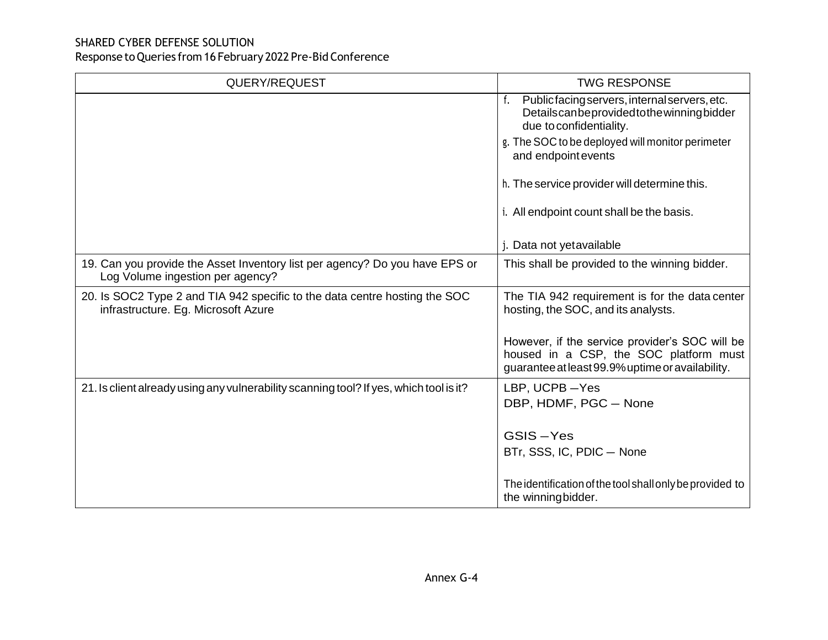| QUERY/REQUEST                                                                                                     | <b>TWG RESPONSE</b>                                                                                                                          |
|-------------------------------------------------------------------------------------------------------------------|----------------------------------------------------------------------------------------------------------------------------------------------|
|                                                                                                                   | f.<br>Publicfacing servers, internal servers, etc.<br>Detailscanbeprovided to the winning bidder<br>due to confidentiality.                  |
|                                                                                                                   | g. The SOC to be deployed will monitor perimeter<br>and endpoint events                                                                      |
|                                                                                                                   | h. The service provider will determine this.                                                                                                 |
|                                                                                                                   | i. All endpoint count shall be the basis.                                                                                                    |
|                                                                                                                   | j. Data not yetavailable                                                                                                                     |
| 19. Can you provide the Asset Inventory list per agency? Do you have EPS or<br>Log Volume ingestion per agency?   | This shall be provided to the winning bidder.                                                                                                |
| 20. Is SOC2 Type 2 and TIA 942 specific to the data centre hosting the SOC<br>infrastructure. Eg. Microsoft Azure | The TIA 942 requirement is for the data center<br>hosting, the SOC, and its analysts.                                                        |
|                                                                                                                   | However, if the service provider's SOC will be<br>housed in a CSP, the SOC platform must<br>guarantee at least 99.9% uptime or availability. |
| 21. Is client already using any vulnerability scanning tool? If yes, which tool is it?                            | LBP, UCPB-Yes                                                                                                                                |
|                                                                                                                   | DBP, HDMF, PGC - None                                                                                                                        |
|                                                                                                                   | GSIS-Yes                                                                                                                                     |
|                                                                                                                   | BTr, SSS, IC, PDIC - None                                                                                                                    |
|                                                                                                                   | The identification of the tool shall only be provided to<br>the winning bidder.                                                              |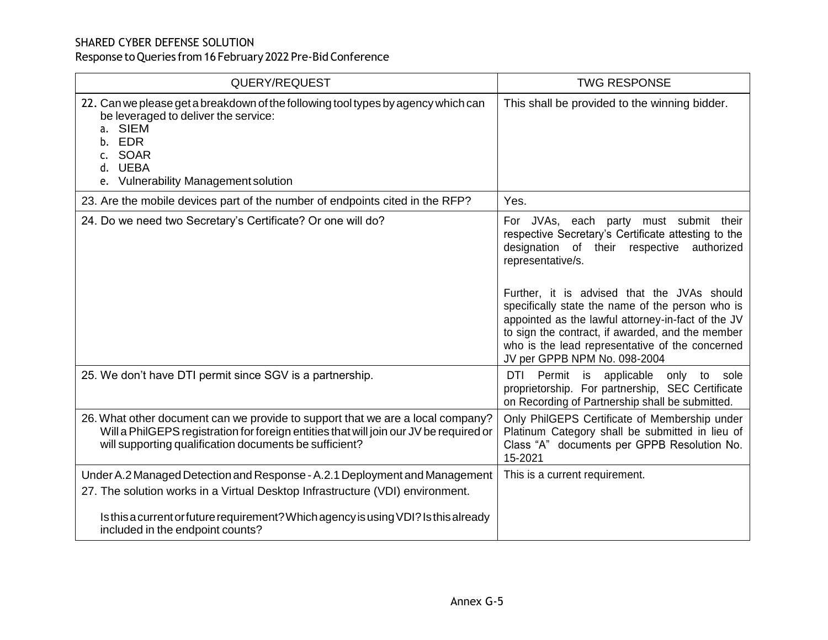| QUERY/REQUEST                                                                                                                                                                                                                      | <b>TWG RESPONSE</b>                                                                                                                                                                                                                                                                                                                                                                                                                                                    |
|------------------------------------------------------------------------------------------------------------------------------------------------------------------------------------------------------------------------------------|------------------------------------------------------------------------------------------------------------------------------------------------------------------------------------------------------------------------------------------------------------------------------------------------------------------------------------------------------------------------------------------------------------------------------------------------------------------------|
| 22. Can we please get a breakdown of the following tool types by agency which can<br>be leveraged to deliver the service:<br>a. SIEM<br>b. EDR<br>c. SOAR<br>d. UEBA<br>e. Vulnerability Management solution                       | This shall be provided to the winning bidder.                                                                                                                                                                                                                                                                                                                                                                                                                          |
| 23. Are the mobile devices part of the number of endpoints cited in the RFP?                                                                                                                                                       | Yes.                                                                                                                                                                                                                                                                                                                                                                                                                                                                   |
| 24. Do we need two Secretary's Certificate? Or one will do?                                                                                                                                                                        | For JVAs, each party must submit their<br>respective Secretary's Certificate attesting to the<br>designation of their<br>respective<br>authorized<br>representative/s.<br>Further, it is advised that the JVAs should<br>specifically state the name of the person who is<br>appointed as the lawful attorney-in-fact of the JV<br>to sign the contract, if awarded, and the member<br>who is the lead representative of the concerned<br>JV per GPPB NPM No. 098-2004 |
| 25. We don't have DTI permit since SGV is a partnership.                                                                                                                                                                           | Permit<br>applicable only to<br>DTI<br>is<br>sole<br>proprietorship. For partnership, SEC Certificate<br>on Recording of Partnership shall be submitted.                                                                                                                                                                                                                                                                                                               |
| 26. What other document can we provide to support that we are a local company?<br>Will a PhilGEPS registration for foreign entities that will join our JV be required or<br>will supporting qualification documents be sufficient? | Only PhilGEPS Certificate of Membership under<br>Platinum Category shall be submitted in lieu of<br>Class "A" documents per GPPB Resolution No.<br>15-2021                                                                                                                                                                                                                                                                                                             |
| Under A.2 Managed Detection and Response - A.2.1 Deployment and Management                                                                                                                                                         | This is a current requirement.                                                                                                                                                                                                                                                                                                                                                                                                                                         |
| 27. The solution works in a Virtual Desktop Infrastructure (VDI) environment.                                                                                                                                                      |                                                                                                                                                                                                                                                                                                                                                                                                                                                                        |
| Is this a current or future requirement? Which agency is using VDI? Is this already<br>included in the endpoint counts?                                                                                                            |                                                                                                                                                                                                                                                                                                                                                                                                                                                                        |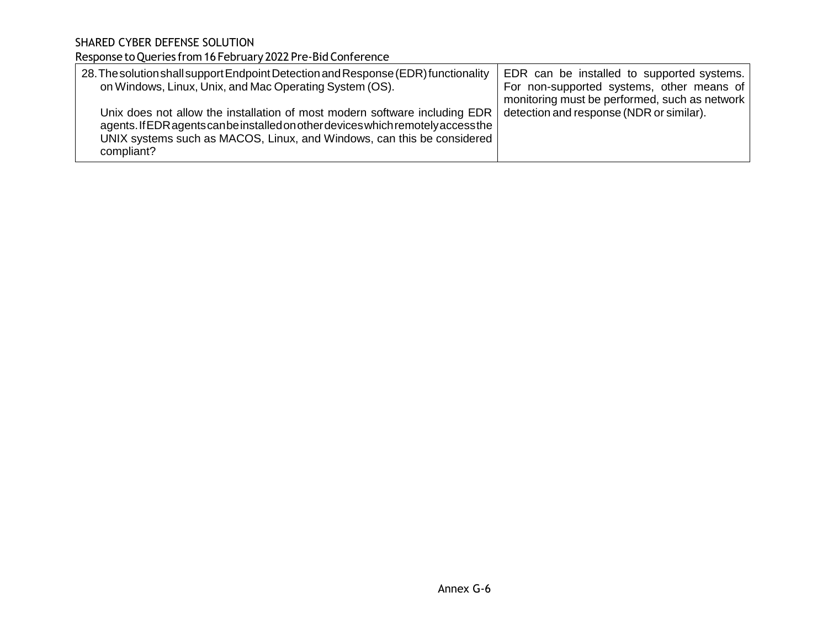| 28. The solution shall support Endpoint Detection and Response (EDR) functionality<br>on Windows, Linux, Unix, and Mac Operating System (OS).                                                                                                           | EDR can be installed to supported systems.<br>For non-supported systems, other means of<br>monitoring must be performed, such as network |
|---------------------------------------------------------------------------------------------------------------------------------------------------------------------------------------------------------------------------------------------------------|------------------------------------------------------------------------------------------------------------------------------------------|
| Unix does not allow the installation of most modern software including EDR<br>agents. If EDR agents can be installed on other devices which remotely access the<br>UNIX systems such as MACOS, Linux, and Windows, can this be considered<br>compliant? | detection and response (NDR or similar).                                                                                                 |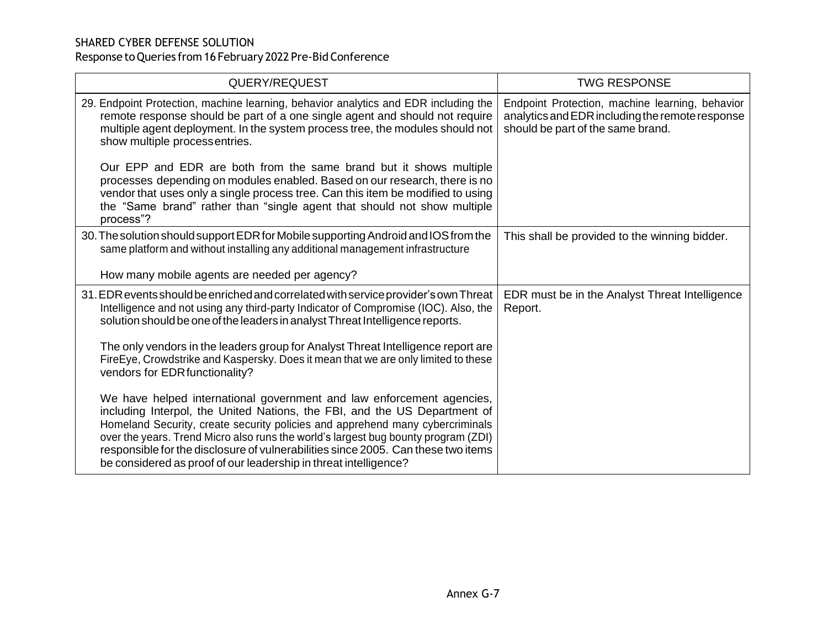| QUERY/REQUEST                                                                                                                                                                                                                                                                                                                                                                                                                                                                      | <b>TWG RESPONSE</b>                                                                                                                     |
|------------------------------------------------------------------------------------------------------------------------------------------------------------------------------------------------------------------------------------------------------------------------------------------------------------------------------------------------------------------------------------------------------------------------------------------------------------------------------------|-----------------------------------------------------------------------------------------------------------------------------------------|
| 29. Endpoint Protection, machine learning, behavior analytics and EDR including the<br>remote response should be part of a one single agent and should not require<br>multiple agent deployment. In the system process tree, the modules should not<br>show multiple processentries.                                                                                                                                                                                               | Endpoint Protection, machine learning, behavior<br>analytics and EDR including the remote response<br>should be part of the same brand. |
| Our EPP and EDR are both from the same brand but it shows multiple<br>processes depending on modules enabled. Based on our research, there is no<br>vendor that uses only a single process tree. Can this item be modified to using<br>the "Same brand" rather than "single agent that should not show multiple<br>process"?                                                                                                                                                       |                                                                                                                                         |
| 30. The solution should support EDR for Mobile supporting Android and IOS from the<br>same platform and without installing any additional management infrastructure                                                                                                                                                                                                                                                                                                                | This shall be provided to the winning bidder.                                                                                           |
| How many mobile agents are needed per agency?                                                                                                                                                                                                                                                                                                                                                                                                                                      |                                                                                                                                         |
| 31. EDR events should be enriched and correlated with service provider's own Threat<br>Intelligence and not using any third-party Indicator of Compromise (IOC). Also, the<br>solution should be one of the leaders in analyst Threat Intelligence reports.                                                                                                                                                                                                                        | EDR must be in the Analyst Threat Intelligence<br>Report.                                                                               |
| The only vendors in the leaders group for Analyst Threat Intelligence report are<br>Fire Eye, Crowdstrike and Kaspersky. Does it mean that we are only limited to these<br>vendors for EDR functionality?                                                                                                                                                                                                                                                                          |                                                                                                                                         |
| We have helped international government and law enforcement agencies,<br>including Interpol, the United Nations, the FBI, and the US Department of<br>Homeland Security, create security policies and apprehend many cybercriminals<br>over the years. Trend Micro also runs the world's largest bug bounty program (ZDI)<br>responsible for the disclosure of vulnerabilities since 2005. Can these two items<br>be considered as proof of our leadership in threat intelligence? |                                                                                                                                         |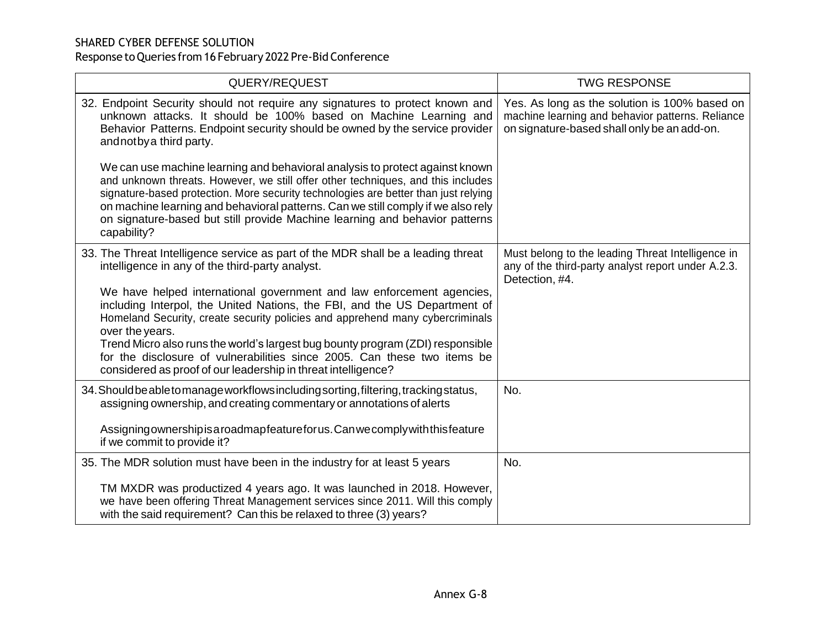| QUERY/REQUEST                                                                                                                                                                                                                                                                                                                                                                                                                             | <b>TWG RESPONSE</b>                                                                                                                              |
|-------------------------------------------------------------------------------------------------------------------------------------------------------------------------------------------------------------------------------------------------------------------------------------------------------------------------------------------------------------------------------------------------------------------------------------------|--------------------------------------------------------------------------------------------------------------------------------------------------|
| 32. Endpoint Security should not require any signatures to protect known and<br>unknown attacks. It should be 100% based on Machine Learning and<br>Behavior Patterns. Endpoint security should be owned by the service provider<br>and not by a third party.                                                                                                                                                                             | Yes. As long as the solution is 100% based on<br>machine learning and behavior patterns. Reliance<br>on signature-based shall only be an add-on. |
| We can use machine learning and behavioral analysis to protect against known<br>and unknown threats. However, we still offer other techniques, and this includes<br>signature-based protection. More security technologies are better than just relying<br>on machine learning and behavioral patterns. Can we still comply if we also rely<br>on signature-based but still provide Machine learning and behavior patterns<br>capability? |                                                                                                                                                  |
| 33. The Threat Intelligence service as part of the MDR shall be a leading threat<br>intelligence in any of the third-party analyst.                                                                                                                                                                                                                                                                                                       | Must belong to the leading Threat Intelligence in<br>any of the third-party analyst report under A.2.3.<br>Detection, #4.                        |
| We have helped international government and law enforcement agencies,<br>including Interpol, the United Nations, the FBI, and the US Department of<br>Homeland Security, create security policies and apprehend many cybercriminals<br>over the years.                                                                                                                                                                                    |                                                                                                                                                  |
| Trend Micro also runs the world's largest bug bounty program (ZDI) responsible<br>for the disclosure of vulnerabilities since 2005. Can these two items be<br>considered as proof of our leadership in threat intelligence?                                                                                                                                                                                                               |                                                                                                                                                  |
| 34. Should be able to manage workflows including sorting, filtering, tracking status,<br>assigning ownership, and creating commentary or annotations of alerts                                                                                                                                                                                                                                                                            | No.                                                                                                                                              |
| Assigning ownership is a roadmap feature for us. Can we comply with this feature<br>if we commit to provide it?                                                                                                                                                                                                                                                                                                                           |                                                                                                                                                  |
| 35. The MDR solution must have been in the industry for at least 5 years                                                                                                                                                                                                                                                                                                                                                                  | No.                                                                                                                                              |
| TM MXDR was productized 4 years ago. It was launched in 2018. However,<br>we have been offering Threat Management services since 2011. Will this comply<br>with the said requirement? Can this be relaxed to three (3) years?                                                                                                                                                                                                             |                                                                                                                                                  |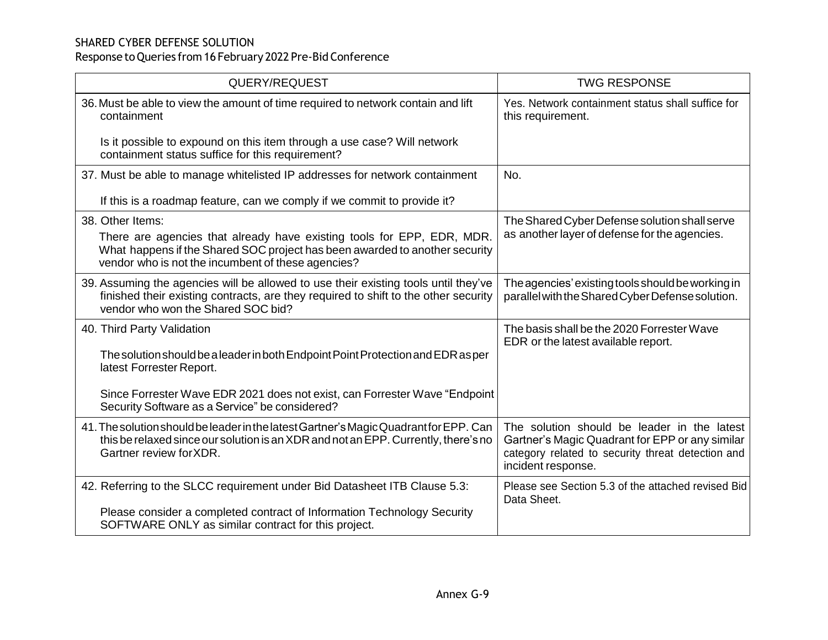| QUERY/REQUEST                                                                                                                                                                                                                   | <b>TWG RESPONSE</b>                                                                                                                                                       |
|---------------------------------------------------------------------------------------------------------------------------------------------------------------------------------------------------------------------------------|---------------------------------------------------------------------------------------------------------------------------------------------------------------------------|
| 36. Must be able to view the amount of time required to network contain and lift<br>containment                                                                                                                                 | Yes. Network containment status shall suffice for<br>this requirement.                                                                                                    |
| Is it possible to expound on this item through a use case? Will network<br>containment status suffice for this requirement?                                                                                                     |                                                                                                                                                                           |
| 37. Must be able to manage whitelisted IP addresses for network containment                                                                                                                                                     | No.                                                                                                                                                                       |
| If this is a roadmap feature, can we comply if we commit to provide it?                                                                                                                                                         |                                                                                                                                                                           |
| 38. Other Items:<br>There are agencies that already have existing tools for EPP, EDR, MDR.<br>What happens if the Shared SOC project has been awarded to another security<br>vendor who is not the incumbent of these agencies? | The Shared Cyber Defense solution shall serve<br>as another layer of defense for the agencies.                                                                            |
| 39. Assuming the agencies will be allowed to use their existing tools until they've<br>finished their existing contracts, are they required to shift to the other security<br>vendor who won the Shared SOC bid?                | The agencies' existing tools should be working in<br>parallel with the Shared Cyber Defense solution.                                                                     |
| 40. Third Party Validation<br>The solution should be a leader in both Endpoint Point Protection and EDR as per<br>latest Forrester Report.<br>Since Forrester Wave EDR 2021 does not exist, can Forrester Wave "Endpoint"       | The basis shall be the 2020 Forrester Wave<br>EDR or the latest available report.                                                                                         |
| Security Software as a Service" be considered?                                                                                                                                                                                  |                                                                                                                                                                           |
| 41. The solution should be leader in the latest Gartner's Magic Quadrant for EPP. Can<br>this be relaxed since our solution is an XDR and not an EPP. Currently, there's no<br>Gartner review for XDR.                          | The solution should be leader in the latest<br>Gartner's Magic Quadrant for EPP or any similar<br>category related to security threat detection and<br>incident response. |
| 42. Referring to the SLCC requirement under Bid Datasheet ITB Clause 5.3:<br>Please consider a completed contract of Information Technology Security<br>SOFTWARE ONLY as similar contract for this project.                     | Please see Section 5.3 of the attached revised Bid<br>Data Sheet.                                                                                                         |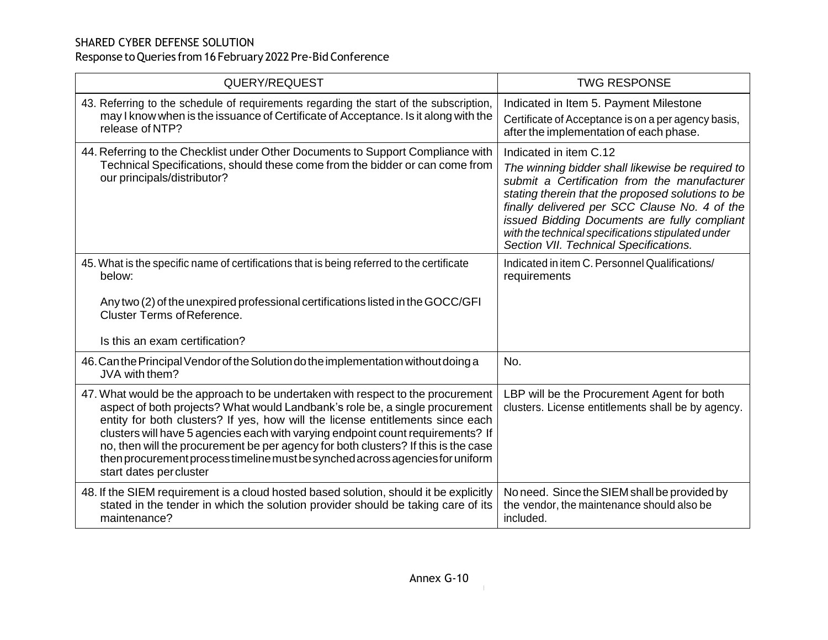| QUERY/REQUEST                                                                                                                                                                                                                                                                                                                                                                                                                                                                                                                          | <b>TWG RESPONSE</b>                                                                                                                                                                                                                                                                                                                                                              |
|----------------------------------------------------------------------------------------------------------------------------------------------------------------------------------------------------------------------------------------------------------------------------------------------------------------------------------------------------------------------------------------------------------------------------------------------------------------------------------------------------------------------------------------|----------------------------------------------------------------------------------------------------------------------------------------------------------------------------------------------------------------------------------------------------------------------------------------------------------------------------------------------------------------------------------|
| 43. Referring to the schedule of requirements regarding the start of the subscription,<br>may I know when is the issuance of Certificate of Acceptance. Is it along with the<br>release of NTP?                                                                                                                                                                                                                                                                                                                                        | Indicated in Item 5. Payment Milestone<br>Certificate of Acceptance is on a per agency basis,<br>after the implementation of each phase.                                                                                                                                                                                                                                         |
| 44. Referring to the Checklist under Other Documents to Support Compliance with<br>Technical Specifications, should these come from the bidder or can come from<br>our principals/distributor?                                                                                                                                                                                                                                                                                                                                         | Indicated in item C.12<br>The winning bidder shall likewise be required to<br>submit a Certification from the manufacturer<br>stating therein that the proposed solutions to be<br>finally delivered per SCC Clause No. 4 of the<br>issued Bidding Documents are fully compliant<br>with the technical specifications stipulated under<br>Section VII. Technical Specifications. |
| 45. What is the specific name of certifications that is being referred to the certificate<br>below:                                                                                                                                                                                                                                                                                                                                                                                                                                    | Indicated in item C. Personnel Qualifications/<br>requirements                                                                                                                                                                                                                                                                                                                   |
| Any two (2) of the unexpired professional certifications listed in the GOCC/GFI<br><b>Cluster Terms of Reference.</b><br>Is this an exam certification?                                                                                                                                                                                                                                                                                                                                                                                |                                                                                                                                                                                                                                                                                                                                                                                  |
|                                                                                                                                                                                                                                                                                                                                                                                                                                                                                                                                        |                                                                                                                                                                                                                                                                                                                                                                                  |
| 46. Can the Principal Vendor of the Solution do the implementation without doing a<br>JVA with them?                                                                                                                                                                                                                                                                                                                                                                                                                                   | No.                                                                                                                                                                                                                                                                                                                                                                              |
| 47. What would be the approach to be undertaken with respect to the procurement<br>aspect of both projects? What would Landbank's role be, a single procurement<br>entity for both clusters? If yes, how will the license entitlements since each<br>clusters will have 5 agencies each with varying endpoint count requirements? If<br>no, then will the procurement be per agency for both clusters? If this is the case<br>then procurement process timeline must be synched across agencies for uniform<br>start dates per cluster | LBP will be the Procurement Agent for both<br>clusters. License entitlements shall be by agency.                                                                                                                                                                                                                                                                                 |
| 48. If the SIEM requirement is a cloud hosted based solution, should it be explicitly<br>stated in the tender in which the solution provider should be taking care of its<br>maintenance?                                                                                                                                                                                                                                                                                                                                              | No need. Since the SIEM shall be provided by<br>the vendor, the maintenance should also be<br>included.                                                                                                                                                                                                                                                                          |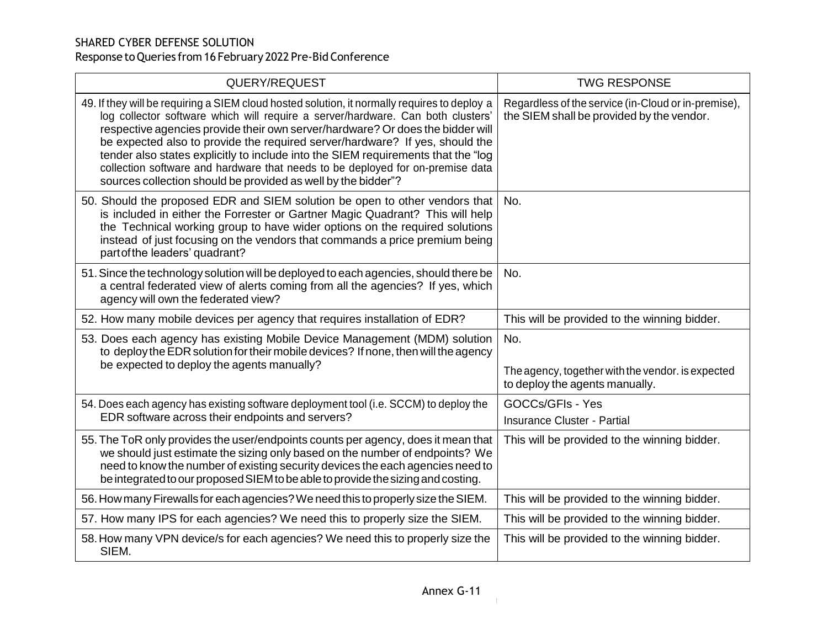| QUERY/REQUEST                                                                                                                                                                                                                                                                                                                                                                                                                                                                                                                                                                             | <b>TWG RESPONSE</b>                                                                              |
|-------------------------------------------------------------------------------------------------------------------------------------------------------------------------------------------------------------------------------------------------------------------------------------------------------------------------------------------------------------------------------------------------------------------------------------------------------------------------------------------------------------------------------------------------------------------------------------------|--------------------------------------------------------------------------------------------------|
| 49. If they will be requiring a SIEM cloud hosted solution, it normally requires to deploy a<br>log collector software which will require a server/hardware. Can both clusters'<br>respective agencies provide their own server/hardware? Or does the bidder will<br>be expected also to provide the required server/hardware? If yes, should the<br>tender also states explicitly to include into the SIEM requirements that the "log<br>collection software and hardware that needs to be deployed for on-premise data<br>sources collection should be provided as well by the bidder"? | Regardless of the service (in-Cloud or in-premise),<br>the SIEM shall be provided by the vendor. |
| 50. Should the proposed EDR and SIEM solution be open to other vendors that<br>is included in either the Forrester or Gartner Magic Quadrant? This will help<br>the Technical working group to have wider options on the required solutions<br>instead of just focusing on the vendors that commands a price premium being<br>part of the leaders' quadrant?                                                                                                                                                                                                                              | No.                                                                                              |
| 51. Since the technology solution will be deployed to each agencies, should there be<br>a central federated view of alerts coming from all the agencies? If yes, which<br>agency will own the federated view?                                                                                                                                                                                                                                                                                                                                                                             | No.                                                                                              |
| 52. How many mobile devices per agency that requires installation of EDR?                                                                                                                                                                                                                                                                                                                                                                                                                                                                                                                 | This will be provided to the winning bidder.                                                     |
| 53. Does each agency has existing Mobile Device Management (MDM) solution<br>to deploy the EDR solution for their mobile devices? If none, then will the agency<br>be expected to deploy the agents manually?                                                                                                                                                                                                                                                                                                                                                                             | No.<br>The agency, together with the vendor. is expected<br>to deploy the agents manually.       |
| 54. Does each agency has existing software deployment tool (i.e. SCCM) to deploy the<br>EDR software across their endpoints and servers?                                                                                                                                                                                                                                                                                                                                                                                                                                                  | <b>GOCCs/GFIs - Yes</b><br>Insurance Cluster - Partial                                           |
| 55. The ToR only provides the user/endpoints counts per agency, does it mean that<br>we should just estimate the sizing only based on the number of endpoints? We<br>need to know the number of existing security devices the each agencies need to<br>be integrated to our proposed SIEM to be able to provide the sizing and costing.                                                                                                                                                                                                                                                   | This will be provided to the winning bidder.                                                     |
| 56. How many Firewalls for each agencies? We need this to properly size the SIEM.                                                                                                                                                                                                                                                                                                                                                                                                                                                                                                         | This will be provided to the winning bidder.                                                     |
| 57. How many IPS for each agencies? We need this to properly size the SIEM.                                                                                                                                                                                                                                                                                                                                                                                                                                                                                                               | This will be provided to the winning bidder.                                                     |
| 58. How many VPN device/s for each agencies? We need this to properly size the<br>SIEM.                                                                                                                                                                                                                                                                                                                                                                                                                                                                                                   | This will be provided to the winning bidder.                                                     |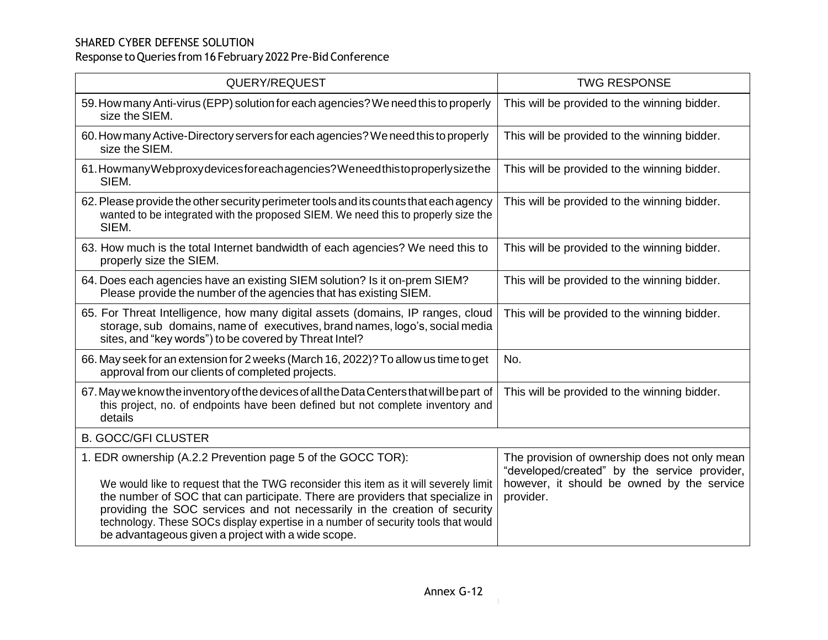| QUERY/REQUEST                                                                                                                                                                                                                                                                                                                                                                                                                                                  | <b>TWG RESPONSE</b>                                                                                                                                      |
|----------------------------------------------------------------------------------------------------------------------------------------------------------------------------------------------------------------------------------------------------------------------------------------------------------------------------------------------------------------------------------------------------------------------------------------------------------------|----------------------------------------------------------------------------------------------------------------------------------------------------------|
| 59. How many Anti-virus (EPP) solution for each agencies? We need this to properly<br>size the SIEM.                                                                                                                                                                                                                                                                                                                                                           | This will be provided to the winning bidder.                                                                                                             |
| 60. How many Active-Directory servers for each agencies? We need this to properly<br>size the SIEM.                                                                                                                                                                                                                                                                                                                                                            | This will be provided to the winning bidder.                                                                                                             |
| 61. How many Web proxy devices for each agencies? We need thistoproperly size the<br>SIEM.                                                                                                                                                                                                                                                                                                                                                                     | This will be provided to the winning bidder.                                                                                                             |
| 62. Please provide the other security perimeter tools and its counts that each agency<br>wanted to be integrated with the proposed SIEM. We need this to properly size the<br>SIEM.                                                                                                                                                                                                                                                                            | This will be provided to the winning bidder.                                                                                                             |
| 63. How much is the total Internet bandwidth of each agencies? We need this to<br>properly size the SIEM.                                                                                                                                                                                                                                                                                                                                                      | This will be provided to the winning bidder.                                                                                                             |
| 64. Does each agencies have an existing SIEM solution? Is it on-prem SIEM?<br>Please provide the number of the agencies that has existing SIEM.                                                                                                                                                                                                                                                                                                                | This will be provided to the winning bidder.                                                                                                             |
| 65. For Threat Intelligence, how many digital assets (domains, IP ranges, cloud<br>storage, sub domains, name of executives, brand names, logo's, social media<br>sites, and "key words") to be covered by Threat Intel?                                                                                                                                                                                                                                       | This will be provided to the winning bidder.                                                                                                             |
| 66. May seek for an extension for 2 weeks (March 16, 2022)? To allow us time to get<br>approval from our clients of completed projects.                                                                                                                                                                                                                                                                                                                        | No.                                                                                                                                                      |
| 67. May we know the inventory of the devices of all the Data Centers that will be part of<br>this project, no. of endpoints have been defined but not complete inventory and<br>details                                                                                                                                                                                                                                                                        | This will be provided to the winning bidder.                                                                                                             |
| <b>B. GOCC/GFI CLUSTER</b>                                                                                                                                                                                                                                                                                                                                                                                                                                     |                                                                                                                                                          |
| 1. EDR ownership (A.2.2 Prevention page 5 of the GOCC TOR):<br>We would like to request that the TWG reconsider this item as it will severely limit<br>the number of SOC that can participate. There are providers that specialize in<br>providing the SOC services and not necessarily in the creation of security<br>technology. These SOCs display expertise in a number of security tools that would<br>be advantageous given a project with a wide scope. | The provision of ownership does not only mean<br>"developed/created" by the service provider,<br>however, it should be owned by the service<br>provider. |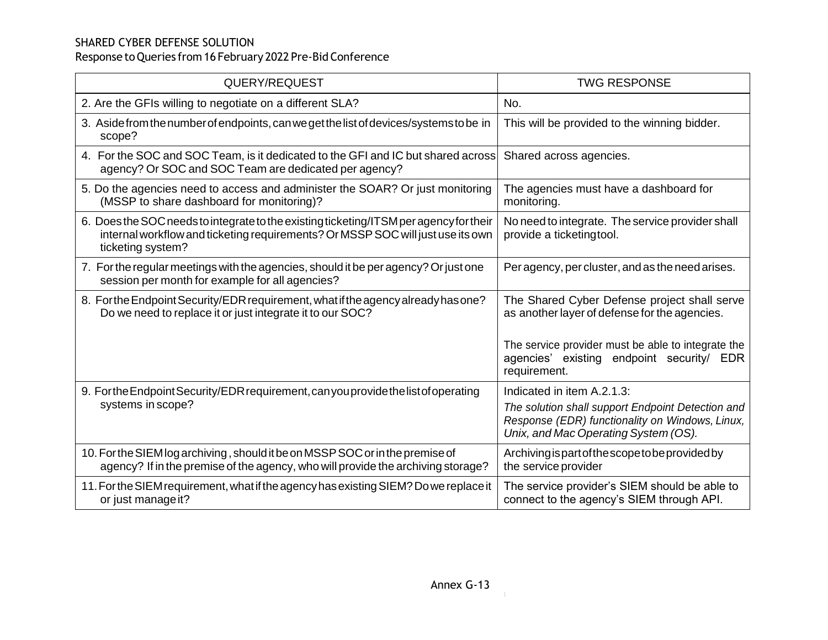| QUERY/REQUEST                                                                                                                                                                                  | <b>TWG RESPONSE</b>                                                                                                                                                        |
|------------------------------------------------------------------------------------------------------------------------------------------------------------------------------------------------|----------------------------------------------------------------------------------------------------------------------------------------------------------------------------|
| 2. Are the GFIs willing to negotiate on a different SLA?                                                                                                                                       | No.                                                                                                                                                                        |
| 3. Aside from the number of endpoints, can we get the list of devices/systems to be in<br>scope?                                                                                               | This will be provided to the winning bidder.                                                                                                                               |
| 4. For the SOC and SOC Team, is it dedicated to the GFI and IC but shared across<br>agency? Or SOC and SOC Team are dedicated per agency?                                                      | Shared across agencies.                                                                                                                                                    |
| 5. Do the agencies need to access and administer the SOAR? Or just monitoring<br>(MSSP to share dashboard for monitoring)?                                                                     | The agencies must have a dashboard for<br>monitoring.                                                                                                                      |
| 6. Does the SOC needs to integrate to the existing ticketing/ITSM per agency for their<br>internal workflow and ticketing requirements? Or MSSP SOC will just use its own<br>ticketing system? | No need to integrate. The service provider shall<br>provide a ticketingtool.                                                                                               |
| 7. For the regular meetings with the agencies, should it be per agency? Or just one<br>session per month for example for all agencies?                                                         | Per agency, per cluster, and as the need arises.                                                                                                                           |
| 8. For the Endpoint Security/EDR requirement, what if the agency already has one?<br>Do we need to replace it or just integrate it to our SOC?                                                 | The Shared Cyber Defense project shall serve<br>as another layer of defense for the agencies.                                                                              |
|                                                                                                                                                                                                | The service provider must be able to integrate the<br>agencies' existing endpoint security/ EDR<br>requirement.                                                            |
| 9. Forthe Endpoint Security/EDR requirement, can you provide the list of operating<br>systems in scope?                                                                                        | Indicated in item A.2.1.3:<br>The solution shall support Endpoint Detection and<br>Response (EDR) functionality on Windows, Linux,<br>Unix, and Mac Operating System (OS). |
| 10. For the SIEM log archiving, should it be on MSSP SOC or in the premise of<br>agency? If in the premise of the agency, who will provide the archiving storage?                              | Archiving is part of the scope to be provided by<br>the service provider                                                                                                   |
| 11. For the SIEM requirement, what if the agency has existing SIEM? Do we replace it<br>or just manage it?                                                                                     | The service provider's SIEM should be able to<br>connect to the agency's SIEM through API.                                                                                 |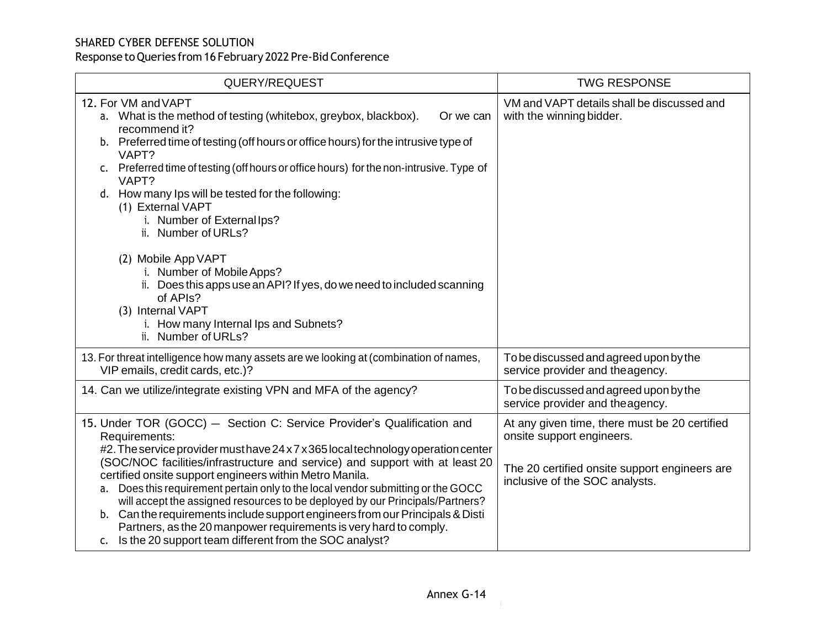| QUERY/REQUEST                                                                                                                                                                                                                                                                                                                                                                                                                                                                                                                                                                                                                                                                                                   | <b>TWG RESPONSE</b>                                                                                                                                           |
|-----------------------------------------------------------------------------------------------------------------------------------------------------------------------------------------------------------------------------------------------------------------------------------------------------------------------------------------------------------------------------------------------------------------------------------------------------------------------------------------------------------------------------------------------------------------------------------------------------------------------------------------------------------------------------------------------------------------|---------------------------------------------------------------------------------------------------------------------------------------------------------------|
| 12. For VM and VAPT<br>a. What is the method of testing (whitebox, greybox, blackbox).<br>Or we can<br>recommend it?<br>b. Preferred time of testing (off hours or office hours) for the intrusive type of<br>VAPT?<br>c. Preferred time of testing (off hours or office hours) for the non-intrusive. Type of<br>VAPT?<br>d. How many lps will be tested for the following:<br>(1) External VAPT<br>i. Number of External lps?<br>ii. Number of URLs?<br>(2) Mobile App VAPT<br>i. Number of Mobile Apps?<br>ii. Does this apps use an API? If yes, do we need to included scanning<br>of APIs?<br>(3) Internal VAPT<br>i. How many Internal Ips and Subnets?<br>ii. Number of URLs?                           | VM and VAPT details shall be discussed and<br>with the winning bidder.                                                                                        |
| 13. For threat intelligence how many assets are we looking at (combination of names,<br>VIP emails, credit cards, etc.)?                                                                                                                                                                                                                                                                                                                                                                                                                                                                                                                                                                                        | To be discussed and agreed upon by the<br>service provider and theagency.                                                                                     |
| 14. Can we utilize/integrate existing VPN and MFA of the agency?                                                                                                                                                                                                                                                                                                                                                                                                                                                                                                                                                                                                                                                | To be discussed and agreed upon by the<br>service provider and the agency.                                                                                    |
| 15. Under TOR (GOCC) - Section C: Service Provider's Qualification and<br>Requirements:<br>#2. The service provider must have 24 x 7 x 365 local technology operation center<br>(SOC/NOC facilities/infrastructure and service) and support with at least 20<br>certified onsite support engineers within Metro Manila.<br>a. Does this requirement pertain only to the local vendor submitting or the GOCC<br>will accept the assigned resources to be deployed by our Principals/Partners?<br>b. Can the requirements include support engineers from our Principals & Disti<br>Partners, as the 20 manpower requirements is very hard to comply.<br>c. Is the 20 support team different from the SOC analyst? | At any given time, there must be 20 certified<br>onsite support engineers.<br>The 20 certified onsite support engineers are<br>inclusive of the SOC analysts. |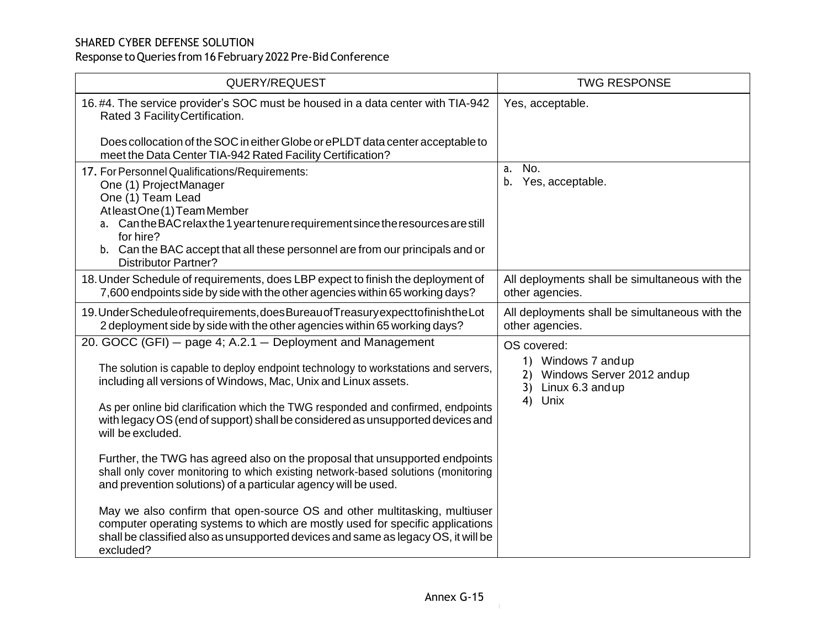| QUERY/REQUEST                                                                                                                                                                                                                                                                                                                                                                                                 | <b>TWG RESPONSE</b>                                                                                     |
|---------------------------------------------------------------------------------------------------------------------------------------------------------------------------------------------------------------------------------------------------------------------------------------------------------------------------------------------------------------------------------------------------------------|---------------------------------------------------------------------------------------------------------|
| 16.#4. The service provider's SOC must be housed in a data center with TIA-942<br>Rated 3 Facility Certification.                                                                                                                                                                                                                                                                                             | Yes, acceptable.                                                                                        |
| Does collocation of the SOC in either Globe or ePLDT data center acceptable to<br>meet the Data Center TIA-942 Rated Facility Certification?                                                                                                                                                                                                                                                                  |                                                                                                         |
| 17. For Personnel Qualifications/Requirements:<br>One (1) ProjectManager<br>One (1) Team Lead<br>AtleastOne(1)TeamMember<br>a. Can the BAC relax the 1 year tenure requirement since the resources are still<br>for hire?<br>b. Can the BAC accept that all these personnel are from our principals and or<br><b>Distributor Partner?</b>                                                                     | No.<br>a.<br>b. Yes, acceptable.                                                                        |
| 18. Under Schedule of requirements, does LBP expect to finish the deployment of<br>7,600 endpoints side by side with the other agencies within 65 working days?                                                                                                                                                                                                                                               | All deployments shall be simultaneous with the<br>other agencies.                                       |
| 19. Under Schedule of requirements, does Bureau of Treasury expect to finish the Lot<br>2 deployment side by side with the other agencies within 65 working days?                                                                                                                                                                                                                                             | All deployments shall be simultaneous with the<br>other agencies.                                       |
| 20. GOCC (GFI) - page 4; A.2.1 - Deployment and Management<br>The solution is capable to deploy endpoint technology to workstations and servers,<br>including all versions of Windows, Mac, Unix and Linux assets.<br>As per online bid clarification which the TWG responded and confirmed, endpoints<br>with legacy OS (end of support) shall be considered as unsupported devices and<br>will be excluded. | OS covered:<br>1) Windows 7 and up<br>2) Windows Server 2012 andup<br>3) Linux 6.3 and up<br>Unix<br>4) |
| Further, the TWG has agreed also on the proposal that unsupported endpoints<br>shall only cover monitoring to which existing network-based solutions (monitoring<br>and prevention solutions) of a particular agency will be used.                                                                                                                                                                            |                                                                                                         |
| May we also confirm that open-source OS and other multitasking, multiuser<br>computer operating systems to which are mostly used for specific applications<br>shall be classified also as unsupported devices and same as legacy OS, it will be<br>excluded?                                                                                                                                                  |                                                                                                         |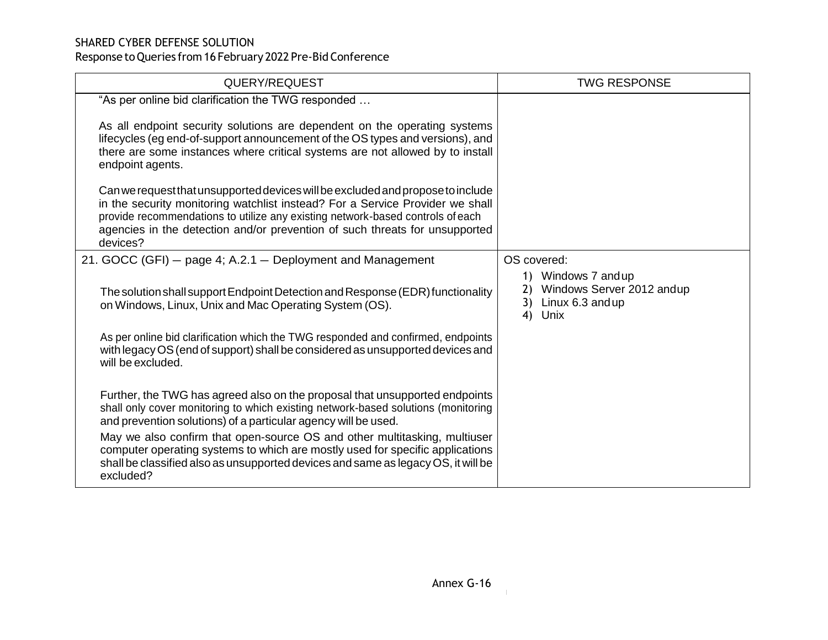| QUERY/REQUEST                                                                                                                                                                                                                                                                                                                                 | <b>TWG RESPONSE</b>                                                                            |
|-----------------------------------------------------------------------------------------------------------------------------------------------------------------------------------------------------------------------------------------------------------------------------------------------------------------------------------------------|------------------------------------------------------------------------------------------------|
| "As per online bid clarification the TWG responded                                                                                                                                                                                                                                                                                            |                                                                                                |
| As all endpoint security solutions are dependent on the operating systems<br>lifecycles (eg end-of-support announcement of the OS types and versions), and<br>there are some instances where critical systems are not allowed by to install<br>endpoint agents.                                                                               |                                                                                                |
| Can we request that unsupported devices will be excluded and propose to include<br>in the security monitoring watchlist instead? For a Service Provider we shall<br>provide recommendations to utilize any existing network-based controls of each<br>agencies in the detection and/or prevention of such threats for unsupported<br>devices? |                                                                                                |
| 21. GOCC (GFI) - page 4; A.2.1 - Deployment and Management                                                                                                                                                                                                                                                                                    | OS covered:                                                                                    |
| The solution shall support Endpoint Detection and Response (EDR) functionality<br>on Windows, Linux, Unix and Mac Operating System (OS).                                                                                                                                                                                                      | 1) Windows 7 and up<br>Windows Server 2012 andup<br>2)<br>Linux 6.3 and up<br>3)<br>4)<br>Unix |
| As per online bid clarification which the TWG responded and confirmed, endpoints<br>with legacy OS (end of support) shall be considered as unsupported devices and<br>will be excluded.                                                                                                                                                       |                                                                                                |
| Further, the TWG has agreed also on the proposal that unsupported endpoints<br>shall only cover monitoring to which existing network-based solutions (monitoring<br>and prevention solutions) of a particular agency will be used.                                                                                                            |                                                                                                |
| May we also confirm that open-source OS and other multitasking, multiuser<br>computer operating systems to which are mostly used for specific applications<br>shall be classified also as unsupported devices and same as legacy OS, it will be<br>excluded?                                                                                  |                                                                                                |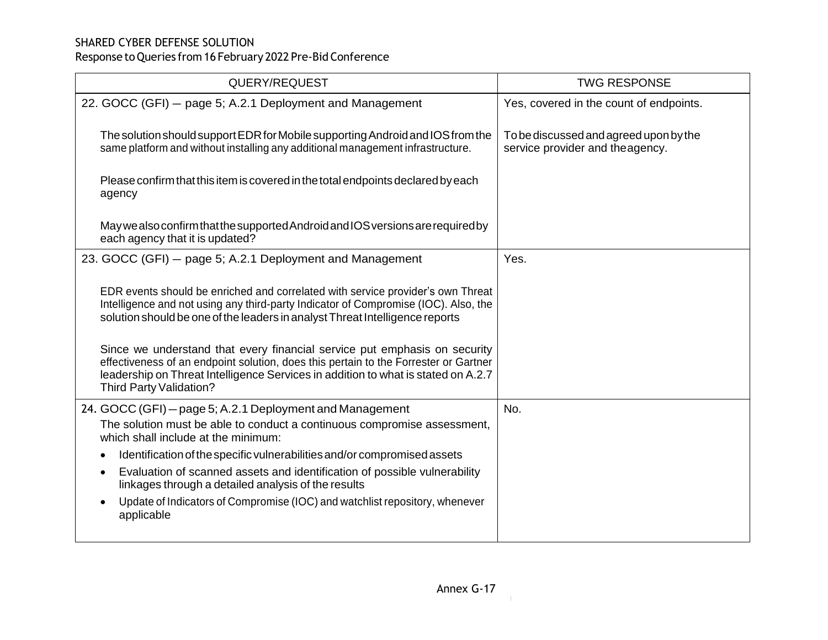| QUERY/REQUEST                                                                                                                                                                                                                                                                                                                       | <b>TWG RESPONSE</b>                                                        |
|-------------------------------------------------------------------------------------------------------------------------------------------------------------------------------------------------------------------------------------------------------------------------------------------------------------------------------------|----------------------------------------------------------------------------|
| 22. GOCC (GFI) - page 5; A.2.1 Deployment and Management                                                                                                                                                                                                                                                                            | Yes, covered in the count of endpoints.                                    |
| The solution should support EDR for Mobile supporting Android and IOS from the<br>same platform and without installing any additional management infrastructure.                                                                                                                                                                    | To be discussed and agreed upon by the<br>service provider and the agency. |
| Please confirm that this item is covered in the total endpoints declared by each<br>agency                                                                                                                                                                                                                                          |                                                                            |
| May we also confirm that the supported Android and IOS versions are required by<br>each agency that it is updated?                                                                                                                                                                                                                  |                                                                            |
| 23. GOCC (GFI) - page 5; A.2.1 Deployment and Management                                                                                                                                                                                                                                                                            | Yes.                                                                       |
| EDR events should be enriched and correlated with service provider's own Threat<br>Intelligence and not using any third-party Indicator of Compromise (IOC). Also, the<br>solution should be one of the leaders in analyst Threat Intelligence reports<br>Since we understand that every financial service put emphasis on security |                                                                            |
| effectiveness of an endpoint solution, does this pertain to the Forrester or Gartner<br>leadership on Threat Intelligence Services in addition to what is stated on A.2.7<br>Third Party Validation?                                                                                                                                |                                                                            |
| 24. GOCC (GFI) - page 5; A.2.1 Deployment and Management                                                                                                                                                                                                                                                                            | No.                                                                        |
| The solution must be able to conduct a continuous compromise assessment,<br>which shall include at the minimum:                                                                                                                                                                                                                     |                                                                            |
| Identification of the specific vulnerabilities and/or compromised assets<br>$\bullet$                                                                                                                                                                                                                                               |                                                                            |
| Evaluation of scanned assets and identification of possible vulnerability<br>$\bullet$<br>linkages through a detailed analysis of the results                                                                                                                                                                                       |                                                                            |
| Update of Indicators of Compromise (IOC) and watchlist repository, whenever<br>$\bullet$<br>applicable                                                                                                                                                                                                                              |                                                                            |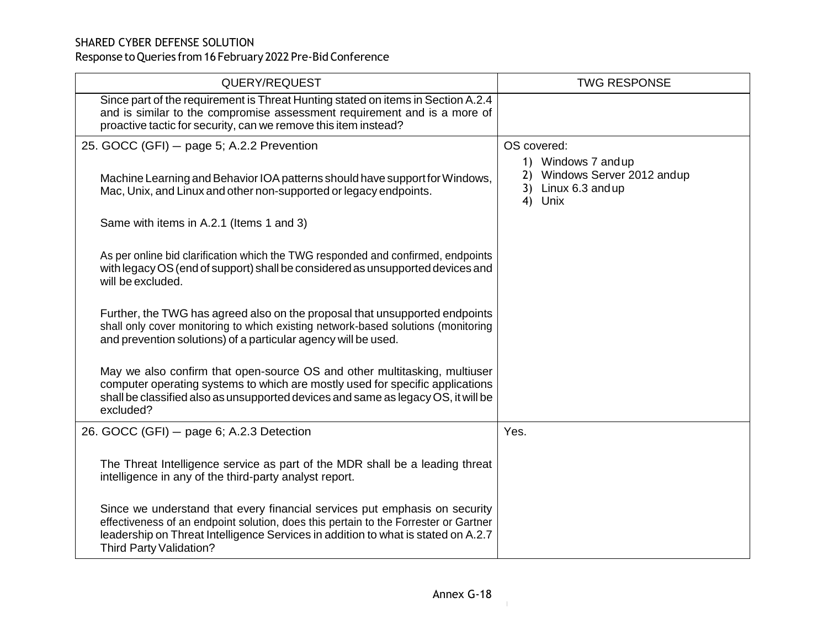| QUERY/REQUEST                                                                                                                                                                                                                                                                             | <b>TWG RESPONSE</b>                                                                   |
|-------------------------------------------------------------------------------------------------------------------------------------------------------------------------------------------------------------------------------------------------------------------------------------------|---------------------------------------------------------------------------------------|
| Since part of the requirement is Threat Hunting stated on items in Section A.2.4<br>and is similar to the compromise assessment requirement and is a more of<br>proactive tactic for security, can we remove this item instead?                                                           |                                                                                       |
| 25. GOCC (GFI) - page 5; A.2.2 Prevention                                                                                                                                                                                                                                                 | OS covered:                                                                           |
| Machine Learning and Behavior IOA patterns should have support for Windows,<br>Mac, Unix, and Linux and other non-supported or legacy endpoints.                                                                                                                                          | 1) Windows 7 and up<br>2) Windows Server 2012 andup<br>3) Linux 6.3 and up<br>4) Unix |
| Same with items in A.2.1 (Items 1 and 3)                                                                                                                                                                                                                                                  |                                                                                       |
| As per online bid clarification which the TWG responded and confirmed, endpoints<br>with legacy OS (end of support) shall be considered as unsupported devices and<br>will be excluded.                                                                                                   |                                                                                       |
| Further, the TWG has agreed also on the proposal that unsupported endpoints<br>shall only cover monitoring to which existing network-based solutions (monitoring<br>and prevention solutions) of a particular agency will be used.                                                        |                                                                                       |
| May we also confirm that open-source OS and other multitasking, multiuser<br>computer operating systems to which are mostly used for specific applications<br>shall be classified also as unsupported devices and same as legacy OS, it will be<br>excluded?                              |                                                                                       |
| 26. GOCC (GFI) - page 6; A.2.3 Detection                                                                                                                                                                                                                                                  | Yes.                                                                                  |
| The Threat Intelligence service as part of the MDR shall be a leading threat<br>intelligence in any of the third-party analyst report.                                                                                                                                                    |                                                                                       |
| Since we understand that every financial services put emphasis on security<br>effectiveness of an endpoint solution, does this pertain to the Forrester or Gartner<br>leadership on Threat Intelligence Services in addition to what is stated on A.2.7<br><b>Third Party Validation?</b> |                                                                                       |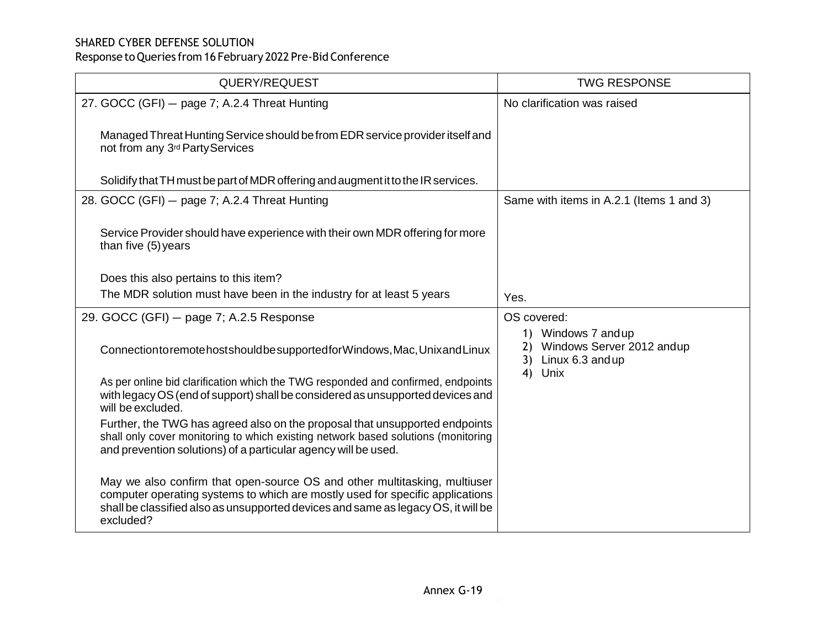| QUERY/REQUEST                                                                                                                                                                                                                                                | <b>TWG RESPONSE</b>                                                           |
|--------------------------------------------------------------------------------------------------------------------------------------------------------------------------------------------------------------------------------------------------------------|-------------------------------------------------------------------------------|
| 27. GOCC (GFI) - page 7; A.2.4 Threat Hunting                                                                                                                                                                                                                | No clarification was raised                                                   |
| Managed Threat Hunting Service should be from EDR service provider itself and<br>not from any 3 <sup>rd</sup> Party Services                                                                                                                                 |                                                                               |
| Solidify that TH must be part of MDR offering and augment it to the IR services.                                                                                                                                                                             |                                                                               |
| 28. GOCC (GFI) - page 7; A.2.4 Threat Hunting                                                                                                                                                                                                                | Same with items in A.2.1 (Items 1 and 3)                                      |
| Service Provider should have experience with their own MDR offering for more<br>than five (5) years                                                                                                                                                          |                                                                               |
| Does this also pertains to this item?                                                                                                                                                                                                                        |                                                                               |
| The MDR solution must have been in the industry for at least 5 years                                                                                                                                                                                         | Yes.                                                                          |
| 29. GOCC (GFI) - page 7; A.2.5 Response                                                                                                                                                                                                                      | OS covered:                                                                   |
| Connection to remote hosts hould be supported for Windows, Mac, Unix and Linux                                                                                                                                                                               | 1) Windows 7 and up<br>Windows Server 2012 andup<br>2)<br>3) Linux 6.3 and up |
| As per online bid clarification which the TWG responded and confirmed, endpoints<br>with legacy OS (end of support) shall be considered as unsupported devices and<br>will be excluded.                                                                      | 4) Unix                                                                       |
| Further, the TWG has agreed also on the proposal that unsupported endpoints<br>shall only cover monitoring to which existing network based solutions (monitoring<br>and prevention solutions) of a particular agency will be used.                           |                                                                               |
| May we also confirm that open-source OS and other multitasking, multiuser<br>computer operating systems to which are mostly used for specific applications<br>shall be classified also as unsupported devices and same as legacy OS, it will be<br>excluded? |                                                                               |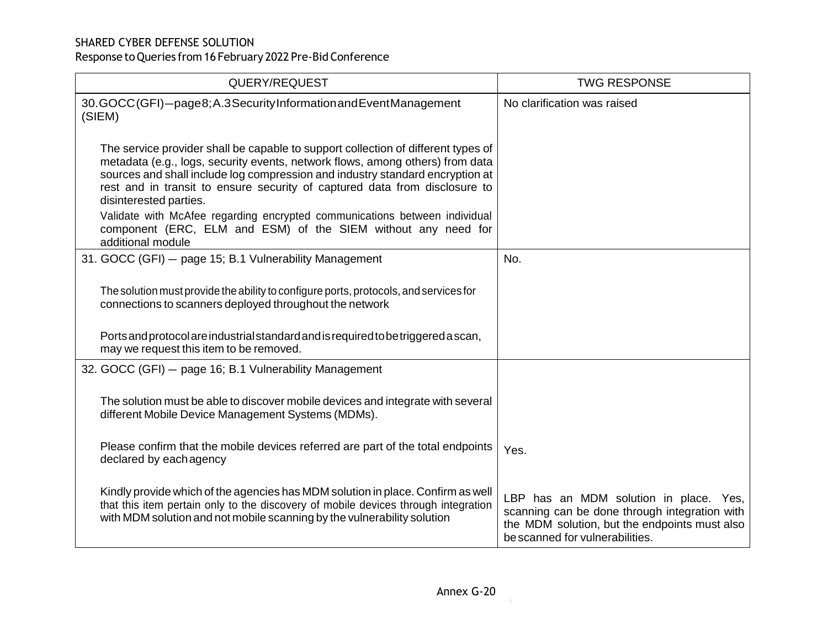| QUERY/REQUEST                                                                                                                                                                                                                                                                                                                                               | <b>TWG RESPONSE</b>                                                                                                                                                         |
|-------------------------------------------------------------------------------------------------------------------------------------------------------------------------------------------------------------------------------------------------------------------------------------------------------------------------------------------------------------|-----------------------------------------------------------------------------------------------------------------------------------------------------------------------------|
| 30.GOCC(GFI)-page8;A.3SecurityInformationandEventManagement<br>(SIEM)                                                                                                                                                                                                                                                                                       | No clarification was raised                                                                                                                                                 |
| The service provider shall be capable to support collection of different types of<br>metadata (e.g., logs, security events, network flows, among others) from data<br>sources and shall include log compression and industry standard encryption at<br>rest and in transit to ensure security of captured data from disclosure to<br>disinterested parties. |                                                                                                                                                                             |
| Validate with McAfee regarding encrypted communications between individual<br>component (ERC, ELM and ESM) of the SIEM without any need for<br>additional module                                                                                                                                                                                            |                                                                                                                                                                             |
| 31. GOCC (GFI) - page 15; B.1 Vulnerability Management                                                                                                                                                                                                                                                                                                      | No.                                                                                                                                                                         |
| The solution must provide the ability to configure ports, protocols, and services for<br>connections to scanners deployed throughout the network                                                                                                                                                                                                            |                                                                                                                                                                             |
| Ports and protocol are industrial standard and is required to be triggered a scan,<br>may we request this item to be removed.                                                                                                                                                                                                                               |                                                                                                                                                                             |
| 32. GOCC (GFI) - page 16; B.1 Vulnerability Management                                                                                                                                                                                                                                                                                                      |                                                                                                                                                                             |
| The solution must be able to discover mobile devices and integrate with several<br>different Mobile Device Management Systems (MDMs).                                                                                                                                                                                                                       |                                                                                                                                                                             |
| Please confirm that the mobile devices referred are part of the total endpoints<br>declared by each agency                                                                                                                                                                                                                                                  | Yes.                                                                                                                                                                        |
| Kindly provide which of the agencies has MDM solution in place. Confirm as well<br>that this item pertain only to the discovery of mobile devices through integration<br>with MDM solution and not mobile scanning by the vulnerability solution                                                                                                            | LBP has an MDM solution in place. Yes,<br>scanning can be done through integration with<br>the MDM solution, but the endpoints must also<br>be scanned for vulnerabilities. |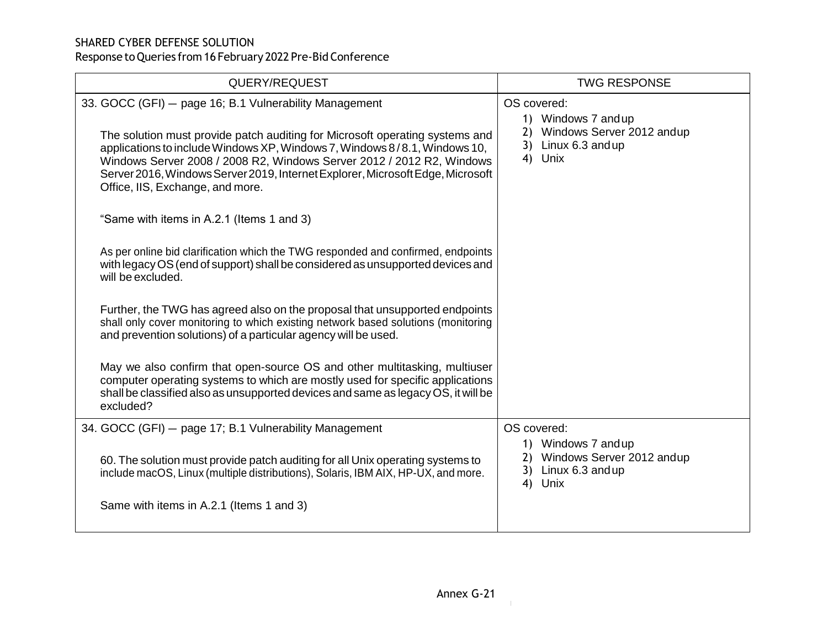| QUERY/REQUEST                                                                                                                                                                                                                                                                                                                                            | <b>TWG RESPONSE</b>                                                                   |
|----------------------------------------------------------------------------------------------------------------------------------------------------------------------------------------------------------------------------------------------------------------------------------------------------------------------------------------------------------|---------------------------------------------------------------------------------------|
| 33. GOCC (GFI) - page 16; B.1 Vulnerability Management                                                                                                                                                                                                                                                                                                   | OS covered:<br>1) Windows 7 and up                                                    |
| The solution must provide patch auditing for Microsoft operating systems and<br>applications to include Windows XP, Windows 7, Windows 8/8.1, Windows 10,<br>Windows Server 2008 / 2008 R2, Windows Server 2012 / 2012 R2, Windows<br>Server 2016, Windows Server 2019, Internet Explorer, Microsoft Edge, Microsoft<br>Office, IIS, Exchange, and more. | 2) Windows Server 2012 andup<br>3) Linux 6.3 and up<br>4) Unix                        |
| "Same with items in A.2.1 (Items 1 and 3)                                                                                                                                                                                                                                                                                                                |                                                                                       |
| As per online bid clarification which the TWG responded and confirmed, endpoints<br>with legacy OS (end of support) shall be considered as unsupported devices and<br>will be excluded.                                                                                                                                                                  |                                                                                       |
| Further, the TWG has agreed also on the proposal that unsupported endpoints<br>shall only cover monitoring to which existing network based solutions (monitoring<br>and prevention solutions) of a particular agency will be used.                                                                                                                       |                                                                                       |
| May we also confirm that open-source OS and other multitasking, multiuser<br>computer operating systems to which are mostly used for specific applications<br>shall be classified also as unsupported devices and same as legacy OS, it will be<br>excluded?                                                                                             |                                                                                       |
| 34. GOCC (GFI) - page 17; B.1 Vulnerability Management                                                                                                                                                                                                                                                                                                   | OS covered:                                                                           |
| 60. The solution must provide patch auditing for all Unix operating systems to<br>include macOS, Linux (multiple distributions), Solaris, IBM AIX, HP-UX, and more.                                                                                                                                                                                      | 1) Windows 7 and up<br>2) Windows Server 2012 andup<br>3) Linux 6.3 and up<br>4) Unix |
| Same with items in A.2.1 (Items 1 and 3)                                                                                                                                                                                                                                                                                                                 |                                                                                       |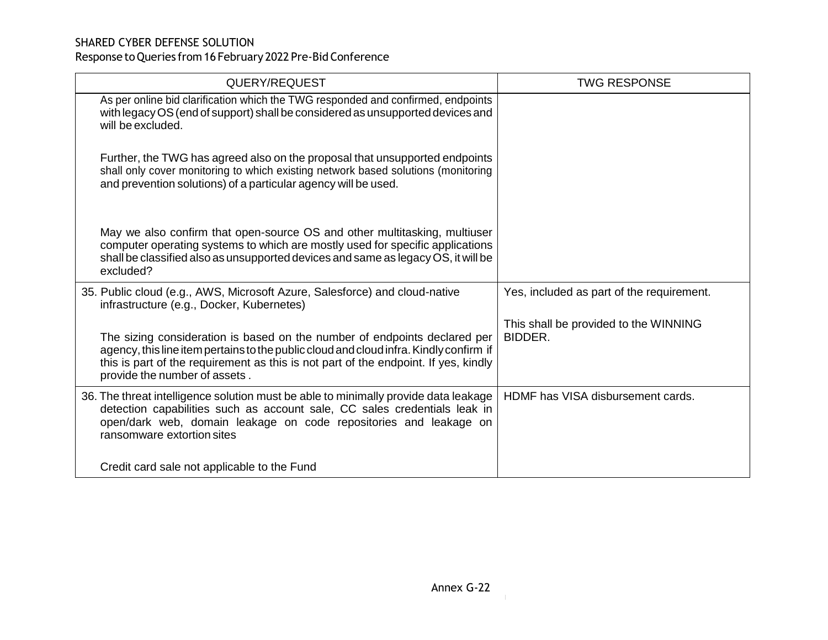| QUERY/REQUEST                                                                                                                                                                                                                                                                               | <b>TWG RESPONSE</b>                              |
|---------------------------------------------------------------------------------------------------------------------------------------------------------------------------------------------------------------------------------------------------------------------------------------------|--------------------------------------------------|
| As per online bid clarification which the TWG responded and confirmed, endpoints<br>with legacy OS (end of support) shall be considered as unsupported devices and<br>will be excluded.                                                                                                     |                                                  |
| Further, the TWG has agreed also on the proposal that unsupported endpoints<br>shall only cover monitoring to which existing network based solutions (monitoring<br>and prevention solutions) of a particular agency will be used.                                                          |                                                  |
| May we also confirm that open-source OS and other multitasking, multiuser<br>computer operating systems to which are mostly used for specific applications<br>shall be classified also as unsupported devices and same as legacy OS, it will be<br>excluded?                                |                                                  |
| 35. Public cloud (e.g., AWS, Microsoft Azure, Salesforce) and cloud-native<br>infrastructure (e.g., Docker, Kubernetes)                                                                                                                                                                     | Yes, included as part of the requirement.        |
| The sizing consideration is based on the number of endpoints declared per<br>agency, this line item pertains to the public cloud and cloud infra. Kindly confirm if<br>this is part of the requirement as this is not part of the endpoint. If yes, kindly<br>provide the number of assets. | This shall be provided to the WINNING<br>BIDDER. |
| 36. The threat intelligence solution must be able to minimally provide data leakage<br>detection capabilities such as account sale, CC sales credentials leak in<br>open/dark web, domain leakage on code repositories and leakage on<br>ransomware extortion sites                         | HDMF has VISA disbursement cards.                |
| Credit card sale not applicable to the Fund                                                                                                                                                                                                                                                 |                                                  |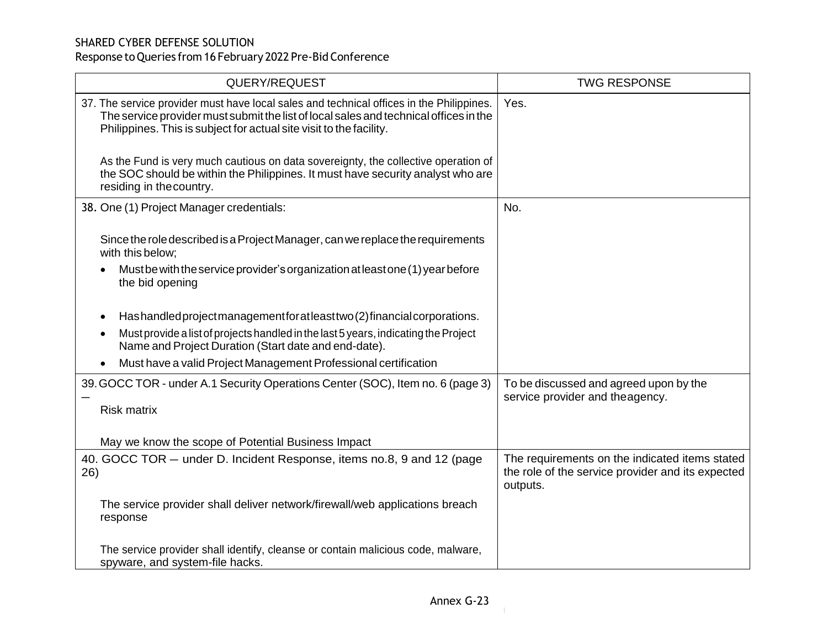| QUERY/REQUEST                                                                                                                                                                                                                                            | <b>TWG RESPONSE</b>                                                                                             |
|----------------------------------------------------------------------------------------------------------------------------------------------------------------------------------------------------------------------------------------------------------|-----------------------------------------------------------------------------------------------------------------|
| 37. The service provider must have local sales and technical offices in the Philippines.<br>The service provider must submit the list of local sales and technical offices in the<br>Philippines. This is subject for actual site visit to the facility. | Yes.                                                                                                            |
| As the Fund is very much cautious on data sovereignty, the collective operation of<br>the SOC should be within the Philippines. It must have security analyst who are<br>residing in the country.                                                        |                                                                                                                 |
| 38. One (1) Project Manager credentials:                                                                                                                                                                                                                 | No.                                                                                                             |
| Since the role described is a Project Manager, can we replace the requirements<br>with this below;                                                                                                                                                       |                                                                                                                 |
| Must be with the service provider's organization at least one (1) year before<br>the bid opening                                                                                                                                                         |                                                                                                                 |
| Hashandled project management for at least two (2) financial corporations.<br>$\bullet$                                                                                                                                                                  |                                                                                                                 |
| Must provide a list of projects handled in the last 5 years, indicating the Project<br>Name and Project Duration (Start date and end-date).                                                                                                              |                                                                                                                 |
| Must have a valid Project Management Professional certification                                                                                                                                                                                          |                                                                                                                 |
| 39. GOCC TOR - under A.1 Security Operations Center (SOC), Item no. 6 (page 3)                                                                                                                                                                           | To be discussed and agreed upon by the<br>service provider and theagency.                                       |
| <b>Risk matrix</b>                                                                                                                                                                                                                                       |                                                                                                                 |
| May we know the scope of Potential Business Impact                                                                                                                                                                                                       |                                                                                                                 |
| 40. GOCC TOR - under D. Incident Response, items no.8, 9 and 12 (page<br>26)                                                                                                                                                                             | The requirements on the indicated items stated<br>the role of the service provider and its expected<br>outputs. |
| The service provider shall deliver network/firewall/web applications breach<br>response                                                                                                                                                                  |                                                                                                                 |
| The service provider shall identify, cleanse or contain malicious code, malware,<br>spyware, and system-file hacks.                                                                                                                                      |                                                                                                                 |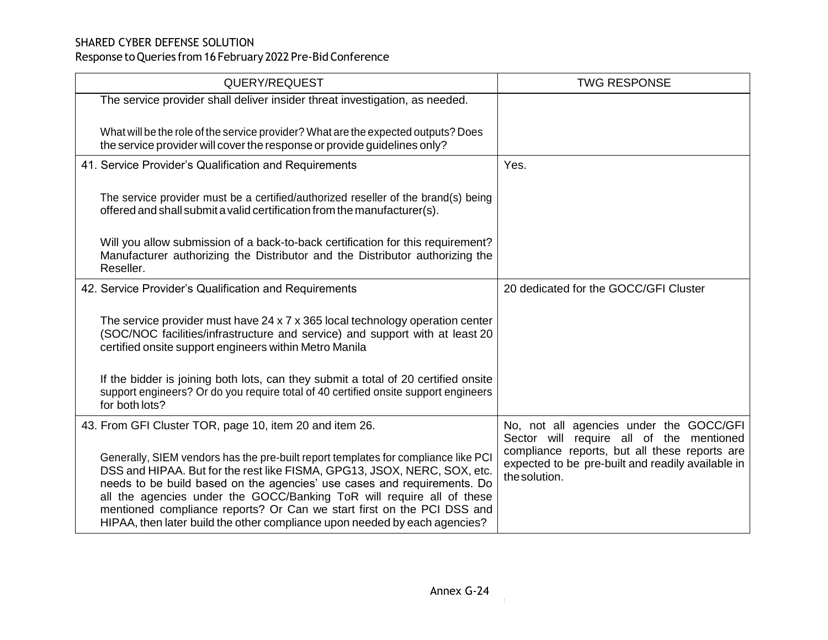| QUERY/REQUEST                                                                                                                                                                                                                                                                                                                                                                                                                                                              | <b>TWG RESPONSE</b>                                                                                                 |
|----------------------------------------------------------------------------------------------------------------------------------------------------------------------------------------------------------------------------------------------------------------------------------------------------------------------------------------------------------------------------------------------------------------------------------------------------------------------------|---------------------------------------------------------------------------------------------------------------------|
| The service provider shall deliver insider threat investigation, as needed.                                                                                                                                                                                                                                                                                                                                                                                                |                                                                                                                     |
| What will be the role of the service provider? What are the expected outputs? Does<br>the service provider will cover the response or provide guidelines only?                                                                                                                                                                                                                                                                                                             |                                                                                                                     |
| 41. Service Provider's Qualification and Requirements                                                                                                                                                                                                                                                                                                                                                                                                                      | Yes.                                                                                                                |
| The service provider must be a certified/authorized reseller of the brand(s) being<br>offered and shall submit a valid certification from the manufacturer(s).                                                                                                                                                                                                                                                                                                             |                                                                                                                     |
| Will you allow submission of a back-to-back certification for this requirement?<br>Manufacturer authorizing the Distributor and the Distributor authorizing the<br>Reseller.                                                                                                                                                                                                                                                                                               |                                                                                                                     |
| 42. Service Provider's Qualification and Requirements                                                                                                                                                                                                                                                                                                                                                                                                                      | 20 dedicated for the GOCC/GFI Cluster                                                                               |
| The service provider must have 24 x 7 x 365 local technology operation center<br>(SOC/NOC facilities/infrastructure and service) and support with at least 20<br>certified onsite support engineers within Metro Manila                                                                                                                                                                                                                                                    |                                                                                                                     |
| If the bidder is joining both lots, can they submit a total of 20 certified onsite<br>support engineers? Or do you require total of 40 certified onsite support engineers<br>for both lots?                                                                                                                                                                                                                                                                                |                                                                                                                     |
| 43. From GFI Cluster TOR, page 10, item 20 and item 26.                                                                                                                                                                                                                                                                                                                                                                                                                    | No, not all agencies under the GOCC/GFI<br>Sector will require all of the mentioned                                 |
| Generally, SIEM vendors has the pre-built report templates for compliance like PCI<br>DSS and HIPAA. But for the rest like FISMA, GPG13, JSOX, NERC, SOX, etc.<br>needs to be build based on the agencies' use cases and requirements. Do<br>all the agencies under the GOCC/Banking ToR will require all of these<br>mentioned compliance reports? Or Can we start first on the PCI DSS and<br>HIPAA, then later build the other compliance upon needed by each agencies? | compliance reports, but all these reports are<br>expected to be pre-built and readily available in<br>the solution. |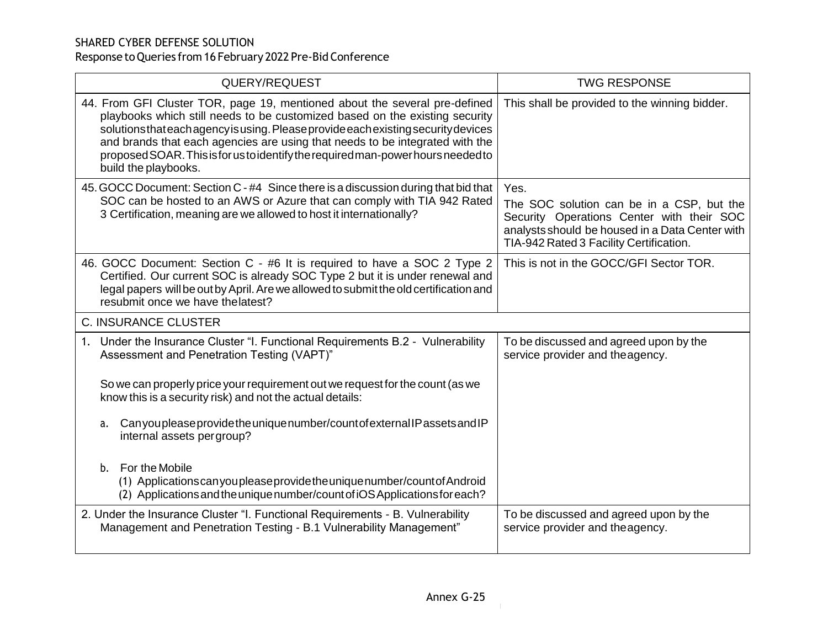| QUERY/REQUEST                                                                                                                                                                                                                                                                                                                                                                                                                                                                                                                                                               | <b>TWG RESPONSE</b>                                                                                                                                                                          |
|-----------------------------------------------------------------------------------------------------------------------------------------------------------------------------------------------------------------------------------------------------------------------------------------------------------------------------------------------------------------------------------------------------------------------------------------------------------------------------------------------------------------------------------------------------------------------------|----------------------------------------------------------------------------------------------------------------------------------------------------------------------------------------------|
| 44. From GFI Cluster TOR, page 19, mentioned about the several pre-defined<br>playbooks which still needs to be customized based on the existing security<br>solutions that each agency is using. Please provide each existing security devices<br>and brands that each agencies are using that needs to be integrated with the<br>proposed SOAR. This is for us to identify the required man-power hours needed to<br>build the playbooks.                                                                                                                                 | This shall be provided to the winning bidder.                                                                                                                                                |
| 45. GOCC Document: Section C - #4 Since there is a discussion during that bid that<br>SOC can be hosted to an AWS or Azure that can comply with TIA 942 Rated<br>3 Certification, meaning are we allowed to host it internationally?                                                                                                                                                                                                                                                                                                                                        | Yes.<br>The SOC solution can be in a CSP, but the<br>Security Operations Center with their SOC<br>analysts should be housed in a Data Center with<br>TIA-942 Rated 3 Facility Certification. |
| 46. GOCC Document: Section C - #6 It is required to have a SOC 2 Type 2<br>Certified. Our current SOC is already SOC Type 2 but it is under renewal and<br>legal papers will be out by April. Are we allowed to submit the old certification and<br>resubmit once we have the latest?                                                                                                                                                                                                                                                                                       | This is not in the GOCC/GFI Sector TOR.                                                                                                                                                      |
| <b>C. INSURANCE CLUSTER</b>                                                                                                                                                                                                                                                                                                                                                                                                                                                                                                                                                 |                                                                                                                                                                                              |
| Under the Insurance Cluster "I. Functional Requirements B.2 - Vulnerability<br>Assessment and Penetration Testing (VAPT)"<br>So we can properly price your requirement out we request for the count (as we<br>know this is a security risk) and not the actual details:<br>Can you please provide the unique number/count of external IP assets and IP<br>a.<br>internal assets per group?<br>b. For the Mobile<br>(1) Applications can you please provide the unique number/count of Android<br>(2) Applications and the unique number/count of iOS Applications for each? | To be discussed and agreed upon by the<br>service provider and the agency.                                                                                                                   |
| 2. Under the Insurance Cluster "I. Functional Requirements - B. Vulnerability<br>Management and Penetration Testing - B.1 Vulnerability Management"                                                                                                                                                                                                                                                                                                                                                                                                                         | To be discussed and agreed upon by the<br>service provider and the agency.                                                                                                                   |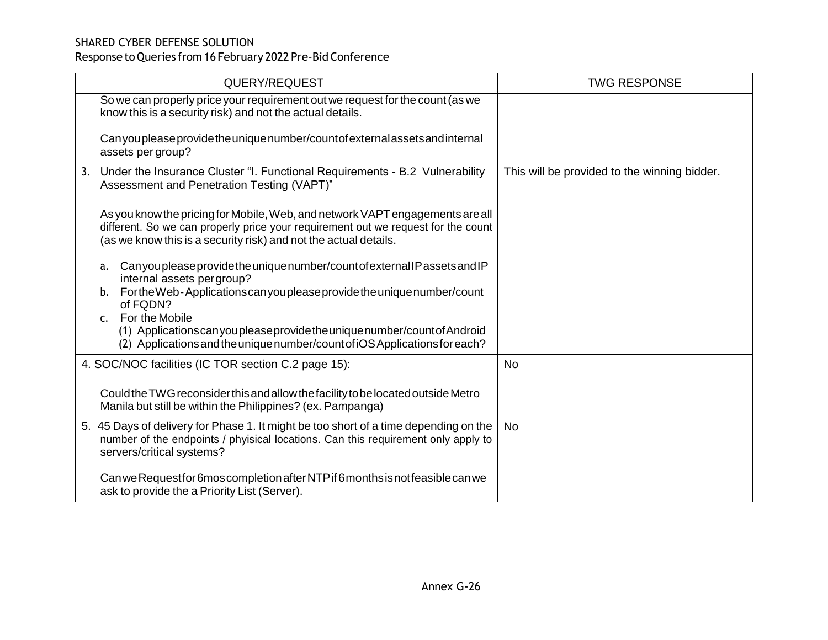| QUERY/REQUEST                                                                                                                                                                                                                          | <b>TWG RESPONSE</b>                          |
|----------------------------------------------------------------------------------------------------------------------------------------------------------------------------------------------------------------------------------------|----------------------------------------------|
| So we can properly price your requirement out we request for the count (as we<br>know this is a security risk) and not the actual details.                                                                                             |                                              |
| Can you please provide the unique number/count of external assets and internal<br>assets per group?                                                                                                                                    |                                              |
| 3. Under the Insurance Cluster "I. Functional Requirements - B.2 Vulnerability<br>Assessment and Penetration Testing (VAPT)"                                                                                                           | This will be provided to the winning bidder. |
| As you know the pricing for Mobile, Web, and network VAPT engagements are all<br>different. So we can properly price your requirement out we request for the count<br>(as we know this is a security risk) and not the actual details. |                                              |
| Can you please provide the unique number/count of external IP assets and IP<br>a.<br>internal assets per group?<br>FortheWeb-Applicationscanyoupleaseprovidetheuniquenumber/count<br>b.<br>of FQDN?                                    |                                              |
| For the Mobile<br>C <sub>1</sub><br>(1) Applications can youple as eprovide the unique number/count of Android<br>(2) Applications and the unique number/count of iOS Applications for each?                                           |                                              |
| 4. SOC/NOC facilities (IC TOR section C.2 page 15):                                                                                                                                                                                    | <b>No</b>                                    |
| Could the TWG reconsider this and allow the facility to be located outside Metro<br>Manila but still be within the Philippines? (ex. Pampanga)                                                                                         |                                              |
| 5. 45 Days of delivery for Phase 1. It might be too short of a time depending on the<br>number of the endpoints / phyisical locations. Can this requirement only apply to<br>servers/critical systems?                                 | <b>No</b>                                    |
| Can we Request for 6mos completion after NTP if 6 months is not feasible can we<br>ask to provide the a Priority List (Server).                                                                                                        |                                              |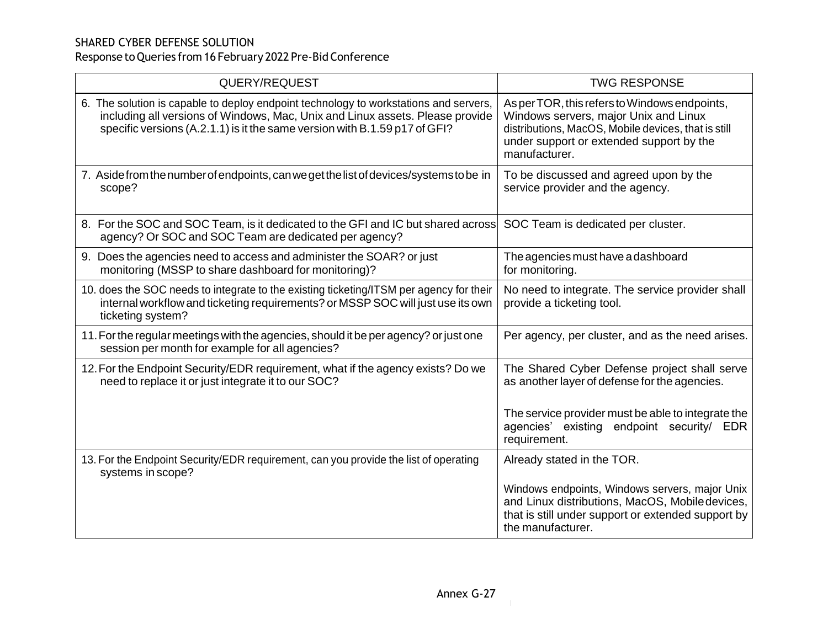| QUERY/REQUEST                                                                                                                                                                                                                                        | <b>TWG RESPONSE</b>                                                                                                                                                                                        |
|------------------------------------------------------------------------------------------------------------------------------------------------------------------------------------------------------------------------------------------------------|------------------------------------------------------------------------------------------------------------------------------------------------------------------------------------------------------------|
| 6. The solution is capable to deploy endpoint technology to workstations and servers,<br>including all versions of Windows, Mac, Unix and Linux assets. Please provide<br>specific versions (A.2.1.1) is it the same version with B.1.59 p17 of GFI? | As per TOR, this refers to Windows endpoints,<br>Windows servers, major Unix and Linux<br>distributions, MacOS, Mobile devices, that is still<br>under support or extended support by the<br>manufacturer. |
| 7. Aside from the number of endpoints, can we get the list of devices/systems to be in<br>scope?                                                                                                                                                     | To be discussed and agreed upon by the<br>service provider and the agency.                                                                                                                                 |
| 8. For the SOC and SOC Team, is it dedicated to the GFI and IC but shared across<br>agency? Or SOC and SOC Team are dedicated per agency?                                                                                                            | SOC Team is dedicated per cluster.                                                                                                                                                                         |
| 9. Does the agencies need to access and administer the SOAR? or just<br>monitoring (MSSP to share dashboard for monitoring)?                                                                                                                         | The agencies must have a dashboard<br>for monitoring.                                                                                                                                                      |
| 10. does the SOC needs to integrate to the existing ticketing/ITSM per agency for their<br>internal workflow and ticketing requirements? or MSSP SOC will just use its own<br>ticketing system?                                                      | No need to integrate. The service provider shall<br>provide a ticketing tool.                                                                                                                              |
| 11. For the regular meetings with the agencies, should it be per agency? or just one<br>session per month for example for all agencies?                                                                                                              | Per agency, per cluster, and as the need arises.                                                                                                                                                           |
| 12. For the Endpoint Security/EDR requirement, what if the agency exists? Do we<br>need to replace it or just integrate it to our SOC?                                                                                                               | The Shared Cyber Defense project shall serve<br>as another layer of defense for the agencies.                                                                                                              |
|                                                                                                                                                                                                                                                      | The service provider must be able to integrate the<br>agencies' existing endpoint security/ EDR<br>requirement.                                                                                            |
| 13. For the Endpoint Security/EDR requirement, can you provide the list of operating<br>systems in scope?                                                                                                                                            | Already stated in the TOR.                                                                                                                                                                                 |
|                                                                                                                                                                                                                                                      | Windows endpoints, Windows servers, major Unix<br>and Linux distributions, MacOS, Mobile devices,<br>that is still under support or extended support by<br>the manufacturer.                               |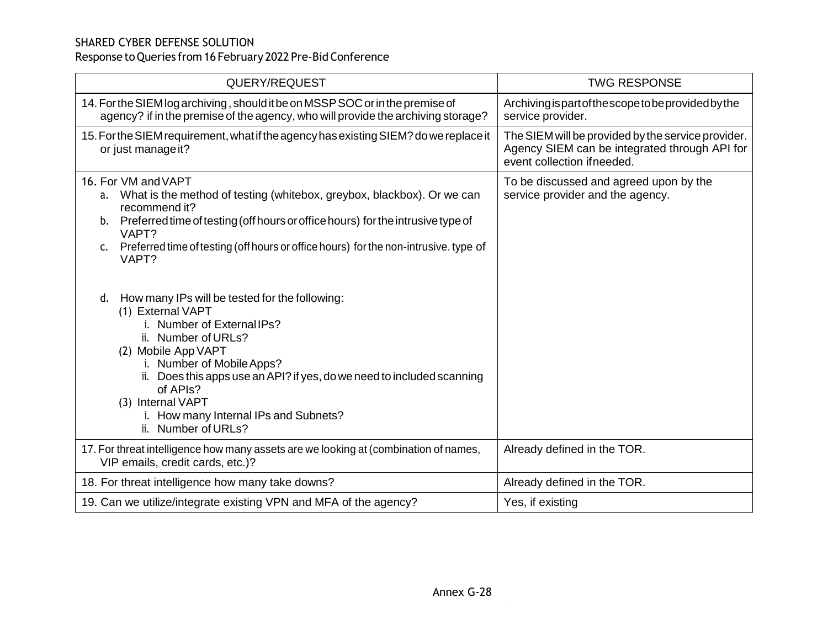| QUERY/REQUEST                                                                                                                                                                                                                                                                                                                                                                                                                                                                                                                                                                                                         | <b>TWG RESPONSE</b>                                                                                                                |
|-----------------------------------------------------------------------------------------------------------------------------------------------------------------------------------------------------------------------------------------------------------------------------------------------------------------------------------------------------------------------------------------------------------------------------------------------------------------------------------------------------------------------------------------------------------------------------------------------------------------------|------------------------------------------------------------------------------------------------------------------------------------|
| 14. For the SIEM log archiving, should it be on MSSP SOC or in the premise of<br>agency? if in the premise of the agency, who will provide the archiving storage?                                                                                                                                                                                                                                                                                                                                                                                                                                                     | Archiving is part of the scope to be provided by the<br>service provider.                                                          |
| 15. For the SIEM requirement, what if the agency has existing SIEM? do we replace it<br>or just manage it?                                                                                                                                                                                                                                                                                                                                                                                                                                                                                                            | The SIEM will be provided by the service provider.<br>Agency SIEM can be integrated through API for<br>event collection if needed. |
| 16. For VM and VAPT<br>a. What is the method of testing (whitebox, greybox, blackbox). Or we can<br>recommend it?<br>b. Preferred time of testing (off hours or office hours) for the intrusive type of<br>VAPT?<br>Preferred time of testing (off hours or office hours) for the non-intrusive. type of<br>c.<br>VAPT?<br>d. How many IPs will be tested for the following:<br>(1) External VAPT<br>i. Number of External IPs?<br>ii. Number of URLs?<br>(2) Mobile App VAPT<br>i. Number of Mobile Apps?<br>ii. Does this apps use an API? if yes, do we need to included scanning<br>of APIs?<br>(3) Internal VAPT | To be discussed and agreed upon by the<br>service provider and the agency.                                                         |
| i. How many Internal IPs and Subnets?<br>ii. Number of URLs?                                                                                                                                                                                                                                                                                                                                                                                                                                                                                                                                                          |                                                                                                                                    |
| 17. For threat intelligence how many assets are we looking at (combination of names,<br>VIP emails, credit cards, etc.)?                                                                                                                                                                                                                                                                                                                                                                                                                                                                                              | Already defined in the TOR.                                                                                                        |
| 18. For threat intelligence how many take downs?                                                                                                                                                                                                                                                                                                                                                                                                                                                                                                                                                                      | Already defined in the TOR.                                                                                                        |
| 19. Can we utilize/integrate existing VPN and MFA of the agency?                                                                                                                                                                                                                                                                                                                                                                                                                                                                                                                                                      | Yes, if existing                                                                                                                   |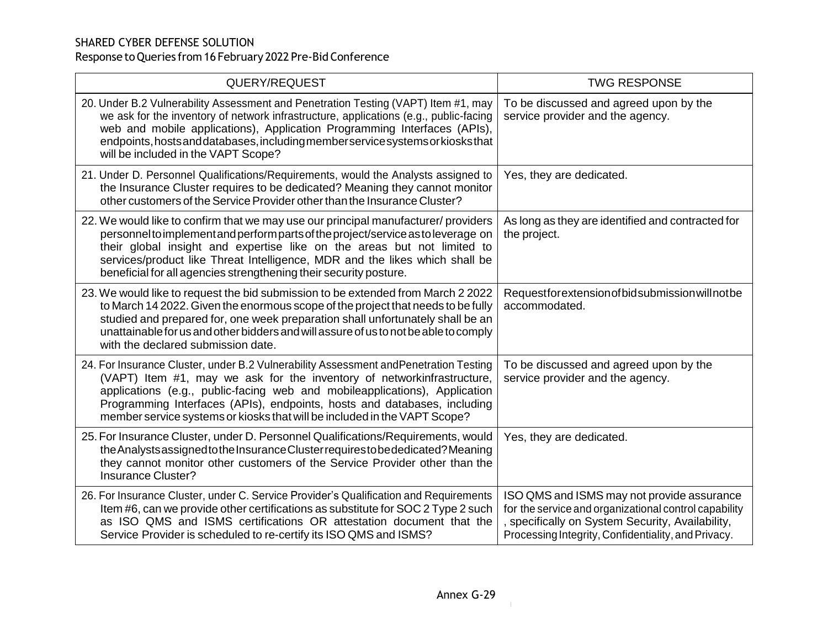| QUERY/REQUEST                                                                                                                                                                                                                                                                                                                                                                                          | <b>TWG RESPONSE</b>                                                                                                                                                                                          |
|--------------------------------------------------------------------------------------------------------------------------------------------------------------------------------------------------------------------------------------------------------------------------------------------------------------------------------------------------------------------------------------------------------|--------------------------------------------------------------------------------------------------------------------------------------------------------------------------------------------------------------|
| 20. Under B.2 Vulnerability Assessment and Penetration Testing (VAPT) Item #1, may<br>we ask for the inventory of network infrastructure, applications (e.g., public-facing<br>web and mobile applications), Application Programming Interfaces (APIs),<br>endpoints, hosts and databases, including member service systems or kiosks that<br>will be included in the VAPT Scope?                      | To be discussed and agreed upon by the<br>service provider and the agency.                                                                                                                                   |
| 21. Under D. Personnel Qualifications/Requirements, would the Analysts assigned to<br>the Insurance Cluster requires to be dedicated? Meaning they cannot monitor<br>other customers of the Service Provider other than the Insurance Cluster?                                                                                                                                                         | Yes, they are dedicated.                                                                                                                                                                                     |
| 22. We would like to confirm that we may use our principal manufacturer/ providers<br>personnel to implement and perform parts of the project/service as to leverage on<br>their global insight and expertise like on the areas but not limited to<br>services/product like Threat Intelligence, MDR and the likes which shall be<br>beneficial for all agencies strengthening their security posture. | As long as they are identified and contracted for<br>the project.                                                                                                                                            |
| 23. We would like to request the bid submission to be extended from March 2 2022<br>to March 14 2022. Given the enormous scope of the project that needs to be fully<br>studied and prepared for, one week preparation shall unfortunately shall be an<br>unattainable for us and other bidders and will assure of us to not be able to comply<br>with the declared submission date.                   | Requestforextensionofbidsubmission will not be<br>accommodated.                                                                                                                                              |
| 24. For Insurance Cluster, under B.2 Vulnerability Assessment and Penetration Testing<br>(VAPT) Item #1, may we ask for the inventory of networkinfrastructure,<br>applications (e.g., public-facing web and mobileapplications), Application<br>Programming Interfaces (APIs), endpoints, hosts and databases, including<br>member service systems or kiosks that will be included in the VAPT Scope? | To be discussed and agreed upon by the<br>service provider and the agency.                                                                                                                                   |
| 25. For Insurance Cluster, under D. Personnel Qualifications/Requirements, would<br>the Analysts assigned to the Insurance Cluster requires to be dedicated? Meaning<br>they cannot monitor other customers of the Service Provider other than the<br><b>Insurance Cluster?</b>                                                                                                                        | Yes, they are dedicated.                                                                                                                                                                                     |
| 26. For Insurance Cluster, under C. Service Provider's Qualification and Requirements<br>Item #6, can we provide other certifications as substitute for SOC 2 Type 2 such<br>as ISO QMS and ISMS certifications OR attestation document that the<br>Service Provider is scheduled to re-certify its ISO QMS and ISMS?                                                                                  | ISO QMS and ISMS may not provide assurance<br>for the service and organizational control capability<br>specifically on System Security, Availability,<br>Processing Integrity, Confidentiality, and Privacy. |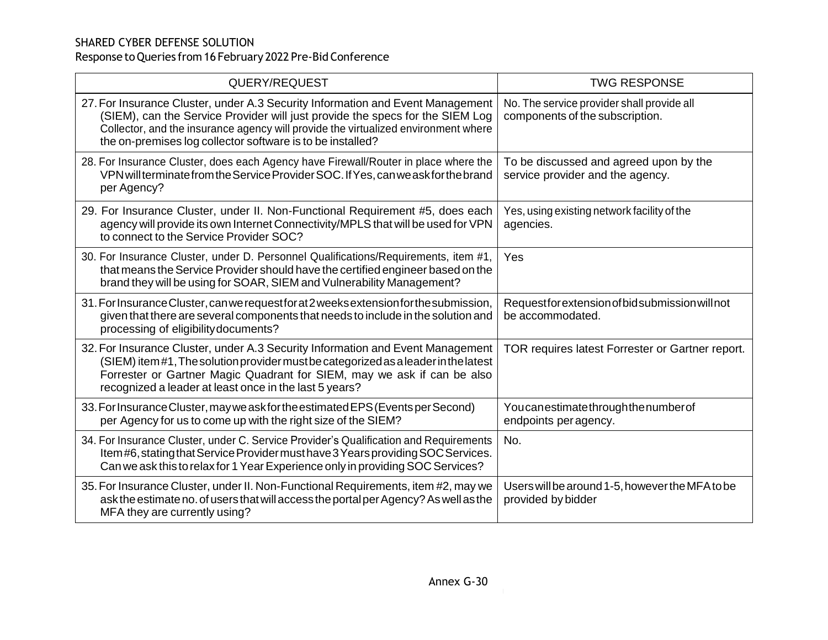| QUERY/REQUEST                                                                                                                                                                                                                                                                                                       | <b>TWG RESPONSE</b>                                                           |
|---------------------------------------------------------------------------------------------------------------------------------------------------------------------------------------------------------------------------------------------------------------------------------------------------------------------|-------------------------------------------------------------------------------|
| 27. For Insurance Cluster, under A.3 Security Information and Event Management<br>(SIEM), can the Service Provider will just provide the specs for the SIEM Log<br>Collector, and the insurance agency will provide the virtualized environment where<br>the on-premises log collector software is to be installed? | No. The service provider shall provide all<br>components of the subscription. |
| 28. For Insurance Cluster, does each Agency have Firewall/Router in place where the<br>VPN will terminate from the Service Provider SOC. If Yes, can we ask for the brand<br>per Agency?                                                                                                                            | To be discussed and agreed upon by the<br>service provider and the agency.    |
| 29. For Insurance Cluster, under II. Non-Functional Requirement #5, does each<br>agency will provide its own Internet Connectivity/MPLS that will be used for VPN<br>to connect to the Service Provider SOC?                                                                                                        | Yes, using existing network facility of the<br>agencies.                      |
| 30. For Insurance Cluster, under D. Personnel Qualifications/Requirements, item #1,<br>that means the Service Provider should have the certified engineer based on the<br>brand they will be using for SOAR, SIEM and Vulnerability Management?                                                                     | Yes                                                                           |
| 31. For Insurance Cluster, can we request for at 2 weeks extension for the submission,<br>given that there are several components that needs to include in the solution and<br>processing of eligibility documents?                                                                                                 | Requestfor extension of bid submission will not<br>be accommodated.           |
| 32. For Insurance Cluster, under A.3 Security Information and Event Management<br>(SIEM) item#1, The solution provider must be categorized as a leader in the latest<br>Forrester or Gartner Magic Quadrant for SIEM, may we ask if can be also<br>recognized a leader at least once in the last 5 years?           | TOR requires latest Forrester or Gartner report.                              |
| 33. For Insurance Cluster, may we ask for the estimated EPS (Events per Second)<br>per Agency for us to come up with the right size of the SIEM?                                                                                                                                                                    | Youcanestimatethroughthenumberof<br>endpoints per agency.                     |
| 34. For Insurance Cluster, under C. Service Provider's Qualification and Requirements<br>Item #6, stating that Service Provider must have 3 Years providing SOC Services.<br>Can we ask this to relax for 1 Year Experience only in providing SOC Services?                                                         | No.                                                                           |
| 35. For Insurance Cluster, under II. Non-Functional Requirements, item #2, may we<br>ask the estimate no. of users that will access the portal per Agency? As well as the<br>MFA they are currently using?                                                                                                          | Users will be around 1-5, however the MFA to be<br>provided by bidder         |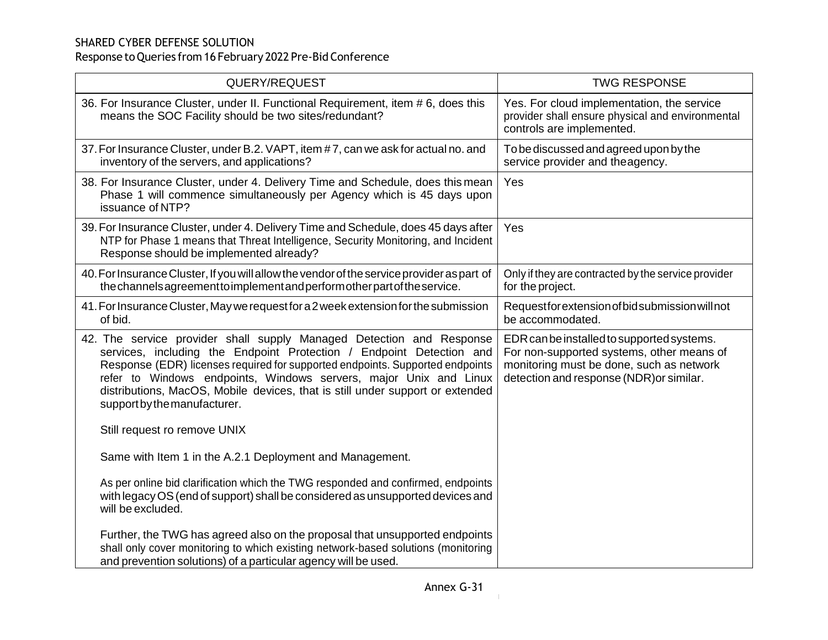| QUERY/REQUEST                                                                                                                                                                                                                                                                                                                                                                                                       | <b>TWG RESPONSE</b>                                                                                                                                                             |
|---------------------------------------------------------------------------------------------------------------------------------------------------------------------------------------------------------------------------------------------------------------------------------------------------------------------------------------------------------------------------------------------------------------------|---------------------------------------------------------------------------------------------------------------------------------------------------------------------------------|
| 36. For Insurance Cluster, under II. Functional Requirement, item # 6, does this<br>means the SOC Facility should be two sites/redundant?                                                                                                                                                                                                                                                                           | Yes. For cloud implementation, the service<br>provider shall ensure physical and environmental<br>controls are implemented.                                                     |
| 37. For Insurance Cluster, under B.2. VAPT, item #7, can we ask for actual no. and<br>inventory of the servers, and applications?                                                                                                                                                                                                                                                                                   | To be discussed and agreed upon by the<br>service provider and theagency.                                                                                                       |
| 38. For Insurance Cluster, under 4. Delivery Time and Schedule, does this mean<br>Phase 1 will commence simultaneously per Agency which is 45 days upon<br>issuance of NTP?                                                                                                                                                                                                                                         | Yes                                                                                                                                                                             |
| 39. For Insurance Cluster, under 4. Delivery Time and Schedule, does 45 days after<br>NTP for Phase 1 means that Threat Intelligence, Security Monitoring, and Incident<br>Response should be implemented already?                                                                                                                                                                                                  | Yes                                                                                                                                                                             |
| 40. For Insurance Cluster, If you will allow the vendor of the service provider as part of<br>the channels agreement to implement and perform other part of the service.                                                                                                                                                                                                                                            | Only if they are contracted by the service provider<br>for the project.                                                                                                         |
| 41. For Insurance Cluster, May we request for a 2 week extension for the submission<br>of bid.                                                                                                                                                                                                                                                                                                                      | Requestfor extension of bid submission will not<br>be accommodated.                                                                                                             |
| 42. The service provider shall supply Managed Detection and Response<br>services, including the Endpoint Protection / Endpoint Detection and<br>Response (EDR) licenses required for supported endpoints. Supported endpoints<br>refer to Windows endpoints, Windows servers, major Unix and Linux<br>distributions, MacOS, Mobile devices, that is still under support or extended<br>support by the manufacturer. | EDR can be installed to supported systems.<br>For non-supported systems, other means of<br>monitoring must be done, such as network<br>detection and response (NDR) or similar. |
| Still request ro remove UNIX                                                                                                                                                                                                                                                                                                                                                                                        |                                                                                                                                                                                 |
| Same with Item 1 in the A.2.1 Deployment and Management.                                                                                                                                                                                                                                                                                                                                                            |                                                                                                                                                                                 |
| As per online bid clarification which the TWG responded and confirmed, endpoints<br>with legacy OS (end of support) shall be considered as unsupported devices and<br>will be excluded.                                                                                                                                                                                                                             |                                                                                                                                                                                 |
| Further, the TWG has agreed also on the proposal that unsupported endpoints<br>shall only cover monitoring to which existing network-based solutions (monitoring<br>and prevention solutions) of a particular agency will be used.                                                                                                                                                                                  |                                                                                                                                                                                 |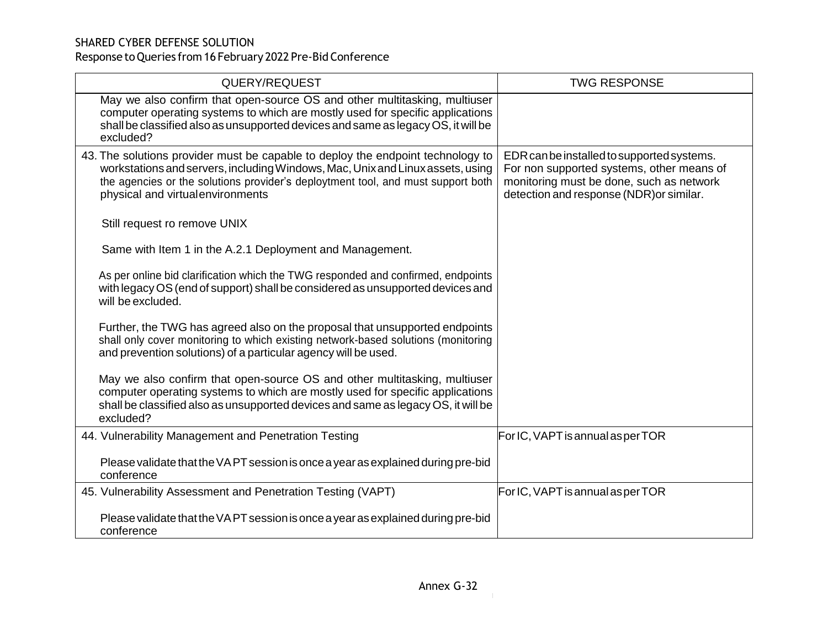| QUERY/REQUEST                                                                                                                                                                                                                                                                              | <b>TWG RESPONSE</b>                                                                                                                                                             |
|--------------------------------------------------------------------------------------------------------------------------------------------------------------------------------------------------------------------------------------------------------------------------------------------|---------------------------------------------------------------------------------------------------------------------------------------------------------------------------------|
| May we also confirm that open-source OS and other multitasking, multiuser<br>computer operating systems to which are mostly used for specific applications<br>shall be classified also as unsupported devices and same as legacy OS, it will be<br>excluded?                               |                                                                                                                                                                                 |
| 43. The solutions provider must be capable to deploy the endpoint technology to<br>workstations and servers, including Windows, Mac, Unix and Linux assets, using<br>the agencies or the solutions provider's deploytment tool, and must support both<br>physical and virtual environments | EDR can be installed to supported systems.<br>For non supported systems, other means of<br>monitoring must be done, such as network<br>detection and response (NDR) or similar. |
| Still request ro remove UNIX                                                                                                                                                                                                                                                               |                                                                                                                                                                                 |
| Same with Item 1 in the A.2.1 Deployment and Management.                                                                                                                                                                                                                                   |                                                                                                                                                                                 |
| As per online bid clarification which the TWG responded and confirmed, endpoints<br>with legacy OS (end of support) shall be considered as unsupported devices and<br>will be excluded.                                                                                                    |                                                                                                                                                                                 |
| Further, the TWG has agreed also on the proposal that unsupported endpoints<br>shall only cover monitoring to which existing network-based solutions (monitoring<br>and prevention solutions) of a particular agency will be used.                                                         |                                                                                                                                                                                 |
| May we also confirm that open-source OS and other multitasking, multiuser<br>computer operating systems to which are mostly used for specific applications<br>shall be classified also as unsupported devices and same as legacy OS, it will be<br>excluded?                               |                                                                                                                                                                                 |
| 44. Vulnerability Management and Penetration Testing                                                                                                                                                                                                                                       | For IC, VAPT is annual asper TOR                                                                                                                                                |
| Please validate that the VA PT session is once a year as explained during pre-bid<br>conference                                                                                                                                                                                            |                                                                                                                                                                                 |
| 45. Vulnerability Assessment and Penetration Testing (VAPT)                                                                                                                                                                                                                                | For IC, VAPT is annual asper TOR                                                                                                                                                |
| Please validate that the VAPT session is once a year as explained during pre-bid<br>conference                                                                                                                                                                                             |                                                                                                                                                                                 |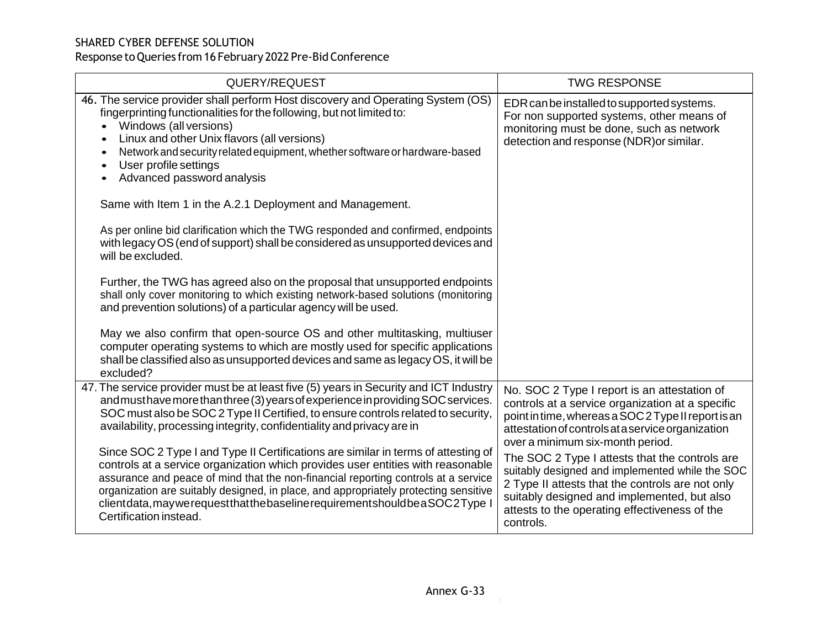| QUERY/REQUEST                                                                                                                                                                                                                                                                                                                                                                                                                                                    | <b>TWG RESPONSE</b>                                                                                                                                                                                                                                                |
|------------------------------------------------------------------------------------------------------------------------------------------------------------------------------------------------------------------------------------------------------------------------------------------------------------------------------------------------------------------------------------------------------------------------------------------------------------------|--------------------------------------------------------------------------------------------------------------------------------------------------------------------------------------------------------------------------------------------------------------------|
| 46. The service provider shall perform Host discovery and Operating System (OS)<br>fingerprinting functionalities for the following, but not limited to:<br>Windows (all versions)<br>$\bullet$<br>Linux and other Unix flavors (all versions)<br>$\bullet$<br>Network and security related equipment, whether software or hardware-based<br>$\bullet$<br>User profile settings<br>$\bullet$<br>Advanced password analysis                                       | EDR can be installed to supported systems.<br>For non supported systems, other means of<br>monitoring must be done, such as network<br>detection and response (NDR) or similar.                                                                                    |
| Same with Item 1 in the A.2.1 Deployment and Management.                                                                                                                                                                                                                                                                                                                                                                                                         |                                                                                                                                                                                                                                                                    |
| As per online bid clarification which the TWG responded and confirmed, endpoints<br>with legacy OS (end of support) shall be considered as unsupported devices and<br>will be excluded.                                                                                                                                                                                                                                                                          |                                                                                                                                                                                                                                                                    |
| Further, the TWG has agreed also on the proposal that unsupported endpoints<br>shall only cover monitoring to which existing network-based solutions (monitoring<br>and prevention solutions) of a particular agency will be used.                                                                                                                                                                                                                               |                                                                                                                                                                                                                                                                    |
| May we also confirm that open-source OS and other multitasking, multiuser<br>computer operating systems to which are mostly used for specific applications<br>shall be classified also as unsupported devices and same as legacy OS, it will be<br>excluded?                                                                                                                                                                                                     |                                                                                                                                                                                                                                                                    |
| 47. The service provider must be at least five (5) years in Security and ICT Industry<br>and must have more than three (3) years of experience in providing SOC services.<br>SOC must also be SOC 2 Type II Certified, to ensure controls related to security,<br>availability, processing integrity, confidentiality and privacy are in                                                                                                                         | No. SOC 2 Type I report is an attestation of<br>controls at a service organization at a specific<br>point in time, whereas a SOC 2 Type II report is an<br>attestation of controls at a service organization<br>over a minimum six-month period.                   |
| Since SOC 2 Type I and Type II Certifications are similar in terms of attesting of<br>controls at a service organization which provides user entities with reasonable<br>assurance and peace of mind that the non-financial reporting controls at a service<br>organization are suitably designed, in place, and appropriately protecting sensitive<br>clientdata, may we request that the baseline requirement should be a SOC2Type I<br>Certification instead. | The SOC 2 Type I attests that the controls are<br>suitably designed and implemented while the SOC<br>2 Type II attests that the controls are not only<br>suitably designed and implemented, but also<br>attests to the operating effectiveness of the<br>controls. |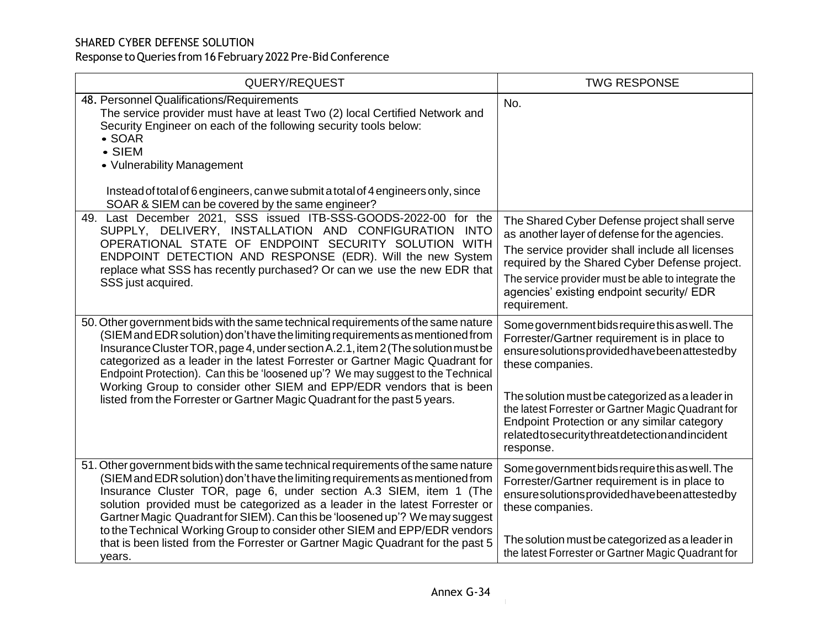| QUERY/REQUEST                                                                                                                                                                                                                                                                                                                                                                                                                                                                                                                                                                      | <b>TWG RESPONSE</b>                                                                                                                                                                                                                                                                                                                                                                 |
|------------------------------------------------------------------------------------------------------------------------------------------------------------------------------------------------------------------------------------------------------------------------------------------------------------------------------------------------------------------------------------------------------------------------------------------------------------------------------------------------------------------------------------------------------------------------------------|-------------------------------------------------------------------------------------------------------------------------------------------------------------------------------------------------------------------------------------------------------------------------------------------------------------------------------------------------------------------------------------|
| 48. Personnel Qualifications/Requirements<br>The service provider must have at least Two (2) local Certified Network and<br>Security Engineer on each of the following security tools below:<br>$\bullet$ SOAR<br>$\bullet$ SIEM<br>• Vulnerability Management<br>Instead of total of 6 engineers, can we submit a total of 4 engineers only, since<br>SOAR & SIEM can be covered by the same engineer?                                                                                                                                                                            | No.                                                                                                                                                                                                                                                                                                                                                                                 |
| 49. Last December 2021, SSS issued ITB-SSS-GOODS-2022-00 for the<br>SUPPLY, DELIVERY, INSTALLATION AND CONFIGURATION INTO<br>OPERATIONAL STATE OF ENDPOINT SECURITY SOLUTION WITH<br>ENDPOINT DETECTION AND RESPONSE (EDR). Will the new System<br>replace what SSS has recently purchased? Or can we use the new EDR that<br>SSS just acquired.                                                                                                                                                                                                                                   | The Shared Cyber Defense project shall serve<br>as another layer of defense for the agencies.<br>The service provider shall include all licenses<br>required by the Shared Cyber Defense project.<br>The service provider must be able to integrate the<br>agencies' existing endpoint security/ EDR<br>requirement.                                                                |
| 50. Other government bids with the same technical requirements of the same nature<br>(SIEM and EDR solution) don't have the limiting requirements as mentioned from<br>Insurance Cluster TOR, page 4, under section A.2.1, item 2 (The solution must be<br>categorized as a leader in the latest Forrester or Gartner Magic Quadrant for<br>Endpoint Protection). Can this be 'loosened up'? We may suggest to the Technical<br>Working Group to consider other SIEM and EPP/EDR vendors that is been<br>listed from the Forrester or Gartner Magic Quadrant for the past 5 years. | Some government bids require this as well. The<br>Forrester/Gartner requirement is in place to<br>ensuresolutionsprovidedhavebeenattestedby<br>these companies.<br>The solution must be categorized as a leader in<br>the latest Forrester or Gartner Magic Quadrant for<br>Endpoint Protection or any similar category<br>relatedtosecuritythreatdetectionandincident<br>response. |
| 51. Other government bids with the same technical requirements of the same nature<br>(SIEM and EDR solution) don't have the limiting requirements as mentioned from<br>Insurance Cluster TOR, page 6, under section A.3 SIEM, item 1 (The<br>solution provided must be categorized as a leader in the latest Forrester or<br>Gartner Magic Quadrant for SIEM). Can this be 'loosened up'? We may suggest<br>to the Technical Working Group to consider other SIEM and EPP/EDR vendors<br>that is been listed from the Forrester or Gartner Magic Quadrant for the past 5<br>years. | Some government bids require this as well. The<br>Forrester/Gartner requirement is in place to<br>ensuresolutionsprovidedhavebeenattestedby<br>these companies.<br>The solution must be categorized as a leader in<br>the latest Forrester or Gartner Magic Quadrant for                                                                                                            |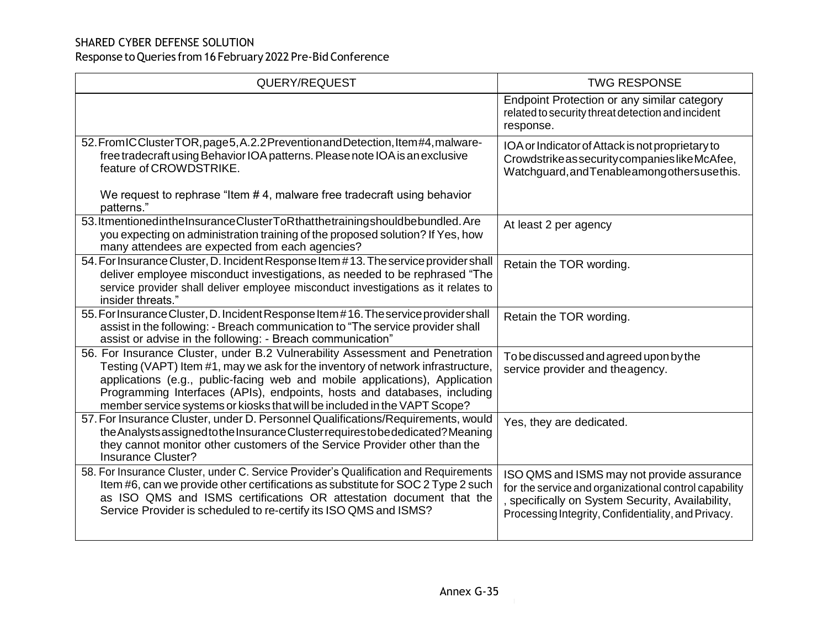| QUERY/REQUEST                                                                                                                                                                                                                                                                                                                                                                                            | <b>TWG RESPONSE</b>                                                                                                                                                                                          |
|----------------------------------------------------------------------------------------------------------------------------------------------------------------------------------------------------------------------------------------------------------------------------------------------------------------------------------------------------------------------------------------------------------|--------------------------------------------------------------------------------------------------------------------------------------------------------------------------------------------------------------|
|                                                                                                                                                                                                                                                                                                                                                                                                          | Endpoint Protection or any similar category<br>related to security threat detection and incident<br>response.                                                                                                |
| 52. From IC Cluster TOR, page 5, A.2.2 Prevention and Detection, Item #4, malware-<br>free tradecraft using Behavior IOA patterns. Please note IOA is an exclusive<br>feature of CROWDSTRIKE.                                                                                                                                                                                                            | IOA or Indicator of Attack is not proprietary to<br>Crowdstrike as security companies like McAfee,<br>Watchguard, and Tenable among othersuse this.                                                          |
| We request to rephrase "Item #4, malware free tradecraft using behavior<br>patterns."                                                                                                                                                                                                                                                                                                                    |                                                                                                                                                                                                              |
| 53. ItmentionedintheInsuranceClusterToRthatthetrainingshouldbebundled. Are<br>you expecting on administration training of the proposed solution? If Yes, how<br>many attendees are expected from each agencies?                                                                                                                                                                                          | At least 2 per agency                                                                                                                                                                                        |
| 54. For Insurance Cluster, D. Incident Response Item #13. The service provider shall<br>deliver employee misconduct investigations, as needed to be rephrased "The<br>service provider shall deliver employee misconduct investigations as it relates to<br>insider threats."                                                                                                                            | Retain the TOR wording.                                                                                                                                                                                      |
| 55. For Insurance Cluster, D. Incident Response Item #16. The service provider shall<br>assist in the following: - Breach communication to "The service provider shall<br>assist or advise in the following: - Breach communication"                                                                                                                                                                     | Retain the TOR wording.                                                                                                                                                                                      |
| 56. For Insurance Cluster, under B.2 Vulnerability Assessment and Penetration<br>Testing (VAPT) Item #1, may we ask for the inventory of network infrastructure,<br>applications (e.g., public-facing web and mobile applications), Application<br>Programming Interfaces (APIs), endpoints, hosts and databases, including<br>member service systems or kiosks that will be included in the VAPT Scope? | To be discussed and agreed upon by the<br>service provider and the agency.                                                                                                                                   |
| 57. For Insurance Cluster, under D. Personnel Qualifications/Requirements, would<br>the Analysts assigned to the Insurance Cluster requires to be dedicated? Meaning<br>they cannot monitor other customers of the Service Provider other than the<br>Insurance Cluster?                                                                                                                                 | Yes, they are dedicated.                                                                                                                                                                                     |
| 58. For Insurance Cluster, under C. Service Provider's Qualification and Requirements<br>Item #6, can we provide other certifications as substitute for SOC 2 Type 2 such<br>as ISO QMS and ISMS certifications OR attestation document that the<br>Service Provider is scheduled to re-certify its ISO QMS and ISMS?                                                                                    | ISO QMS and ISMS may not provide assurance<br>for the service and organizational control capability<br>specifically on System Security, Availability,<br>Processing Integrity, Confidentiality, and Privacy. |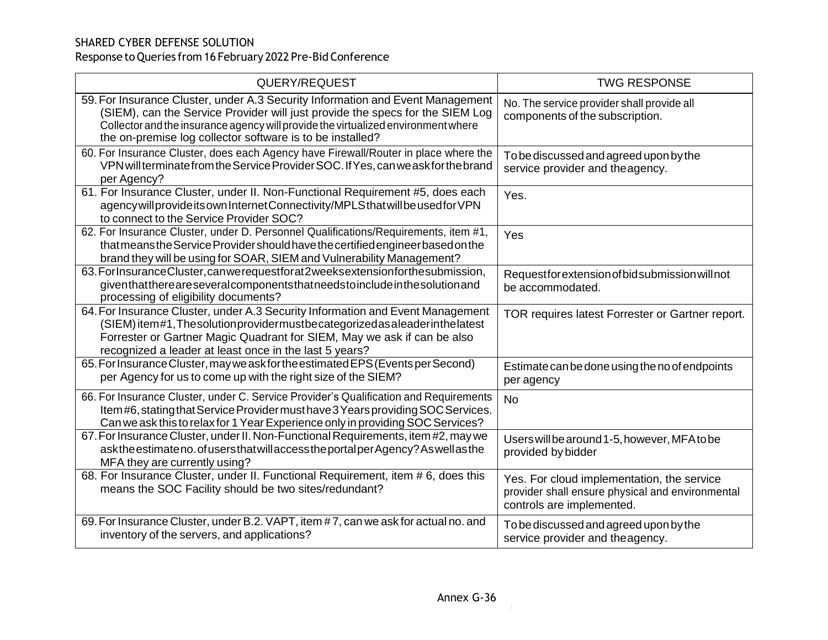| QUERY/REQUEST                                                                                                                                                                                                                                                                                                     | <b>TWG RESPONSE</b>                                                                                                         |
|-------------------------------------------------------------------------------------------------------------------------------------------------------------------------------------------------------------------------------------------------------------------------------------------------------------------|-----------------------------------------------------------------------------------------------------------------------------|
| 59. For Insurance Cluster, under A.3 Security Information and Event Management<br>(SIEM), can the Service Provider will just provide the specs for the SIEM Log<br>Collector and the insurance agency will provide the virtualized environment where<br>the on-premise log collector software is to be installed? | No. The service provider shall provide all<br>components of the subscription.                                               |
| 60. For Insurance Cluster, does each Agency have Firewall/Router in place where the<br>VPN will terminate from the Service Provider SOC. If Yes, can we ask for the brand<br>per Agency?                                                                                                                          | To be discussed and agreed upon by the<br>service provider and theagency.                                                   |
| 61. For Insurance Cluster, under II. Non-Functional Requirement #5, does each<br>agency will provide its own Internet Connectivity/MPLS that will be used for VPN<br>to connect to the Service Provider SOC?                                                                                                      | Yes.                                                                                                                        |
| 62. For Insurance Cluster, under D. Personnel Qualifications/Requirements, item #1,<br>that means the Service Provider should have the certified engineer based on the<br>brand they will be using for SOAR, SIEM and Vulnerability Management?                                                                   | Yes                                                                                                                         |
| 63. For Insurance Cluster, can we request for at 2 weeks extension for the submission,<br>giventhatthereareseveralcomponentsthatneedstoincludeinthesolutionand<br>processing of eligibility documents?                                                                                                            | Requestfor extension of bid submission will not<br>be accommodated.                                                         |
| 64. For Insurance Cluster, under A.3 Security Information and Event Management<br>(SIEM) item#1, The solution provider must be categorized as a leader in the latest<br>Forrester or Gartner Magic Quadrant for SIEM, May we ask if can be also<br>recognized a leader at least once in the last 5 years?         | TOR requires latest Forrester or Gartner report.                                                                            |
| 65. For Insurance Cluster, may we ask for the estimated EPS (Events per Second)<br>per Agency for us to come up with the right size of the SIEM?                                                                                                                                                                  | Estimate can be done using the no of endpoints<br>per agency                                                                |
| 66. For Insurance Cluster, under C. Service Provider's Qualification and Requirements<br>Item #6, stating that Service Provider must have 3 Years providing SOC Services.<br>Can we ask this to relax for 1 Year Experience only in providing SOC Services?                                                       | <b>No</b>                                                                                                                   |
| 67. For Insurance Cluster, under II. Non-Functional Requirements, item #2, may we<br>asktheestimateno.ofusersthat will access the portal per Agency? As well as the<br>MFA they are currently using?                                                                                                              | Users will be around 1-5, however, MFA to be<br>provided by bidder                                                          |
| 68. For Insurance Cluster, under II. Functional Requirement, item #6, does this<br>means the SOC Facility should be two sites/redundant?                                                                                                                                                                          | Yes. For cloud implementation, the service<br>provider shall ensure physical and environmental<br>controls are implemented. |
| 69. For Insurance Cluster, under B.2. VAPT, item #7, can we ask for actual no. and<br>inventory of the servers, and applications?                                                                                                                                                                                 | To be discussed and agreed upon by the<br>service provider and the agency.                                                  |